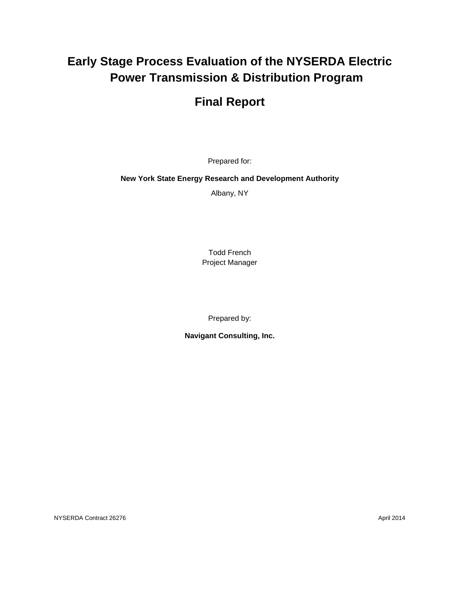# **Early Stage Process Evaluation of the NYSERDA Electric Power Transmission & Distribution Program**

# **Final Report**

Prepared for:

**New York State Energy Research and Development Authority**

Albany, NY

Todd French Project Manager

Prepared by:

**Navigant Consulting, Inc.**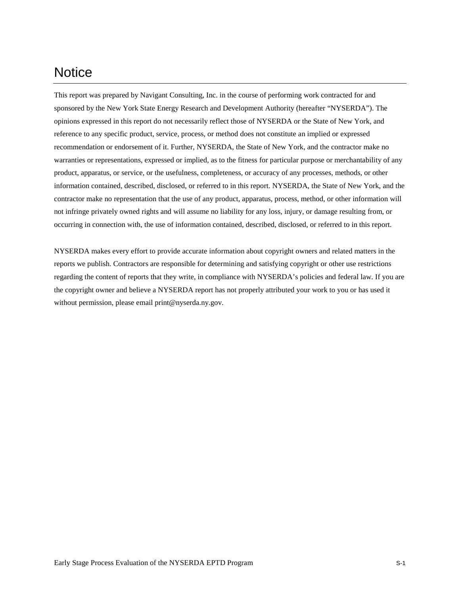# **Notice**

This report was prepared by Navigant Consulting, Inc. in the course of performing work contracted for and sponsored by the New York State Energy Research and Development Authority (hereafter "NYSERDA"). The opinions expressed in this report do not necessarily reflect those of NYSERDA or the State of New York, and reference to any specific product, service, process, or method does not constitute an implied or expressed recommendation or endorsement of it. Further, NYSERDA, the State of New York, and the contractor make no warranties or representations, expressed or implied, as to the fitness for particular purpose or merchantability of any product, apparatus, or service, or the usefulness, completeness, or accuracy of any processes, methods, or other information contained, described, disclosed, or referred to in this report. NYSERDA, the State of New York, and the contractor make no representation that the use of any product, apparatus, process, method, or other information will not infringe privately owned rights and will assume no liability for any loss, injury, or damage resulting from, or occurring in connection with, the use of information contained, described, disclosed, or referred to in this report.

NYSERDA makes every effort to provide accurate information about copyright owners and related matters in the reports we publish. Contractors are responsible for determining and satisfying copyright or other use restrictions regarding the content of reports that they write, in compliance with NYSERDA's policies and federal law. If you are the copyright owner and believe a NYSERDA report has not properly attributed your work to you or has used it without permission, please email print@nyserda.ny.gov.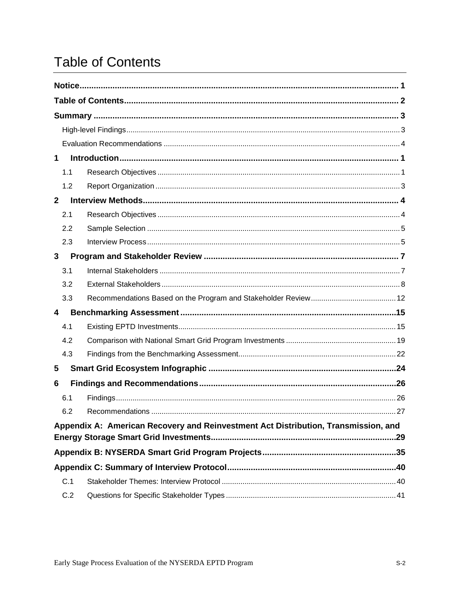# **Table of Contents**

| 1              |     |                                                                                    |     |
|----------------|-----|------------------------------------------------------------------------------------|-----|
|                | 1.1 |                                                                                    |     |
|                | 1.2 |                                                                                    |     |
| $\overline{2}$ |     |                                                                                    |     |
|                | 2.1 |                                                                                    |     |
|                | 2.2 |                                                                                    |     |
|                | 2.3 |                                                                                    |     |
| 3              |     |                                                                                    |     |
|                | 3.1 |                                                                                    |     |
|                | 3.2 |                                                                                    |     |
|                | 3.3 |                                                                                    |     |
| 4              |     |                                                                                    |     |
|                | 4.1 |                                                                                    |     |
|                | 4.2 |                                                                                    |     |
|                | 4.3 |                                                                                    |     |
| 5              |     |                                                                                    |     |
| 6              |     |                                                                                    |     |
|                | 6.1 |                                                                                    |     |
|                | 6.2 | <b>Recommendations</b>                                                             | .27 |
|                |     | Appendix A: American Recovery and Reinvestment Act Distribution, Transmission, and |     |
|                |     |                                                                                    |     |
|                |     |                                                                                    |     |
|                |     |                                                                                    |     |
|                | C.1 |                                                                                    |     |
|                | C.2 |                                                                                    |     |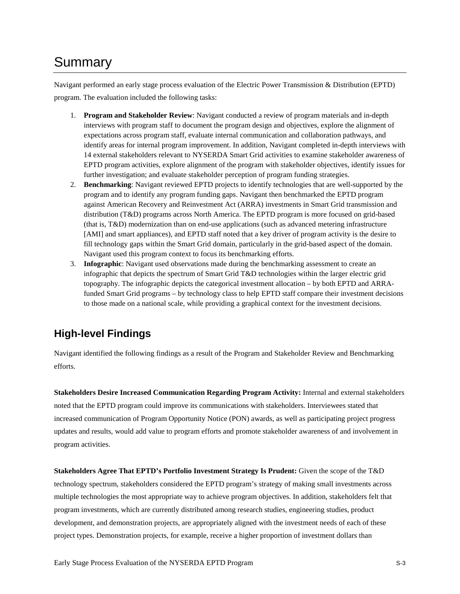# Summary

Navigant performed an early stage process evaluation of the Electric Power Transmission & Distribution (EPTD) program. The evaluation included the following tasks:

- 1. **Program and Stakeholder Review**: Navigant conducted a review of program materials and in-depth interviews with program staff to document the program design and objectives, explore the alignment of expectations across program staff, evaluate internal communication and collaboration pathways, and identify areas for internal program improvement. In addition, Navigant completed in-depth interviews with 14 external stakeholders relevant to NYSERDA Smart Grid activities to examine stakeholder awareness of EPTD program activities, explore alignment of the program with stakeholder objectives, identify issues for further investigation; and evaluate stakeholder perception of program funding strategies.
- 2. **Benchmarking**: Navigant reviewed EPTD projects to identify technologies that are well-supported by the program and to identify any program funding gaps. Navigant then benchmarked the EPTD program against American Recovery and Reinvestment Act (ARRA) investments in Smart Grid transmission and distribution (T&D) programs across North America. The EPTD program is more focused on grid-based (that is, T&D) modernization than on end-use applications (such as advanced metering infrastructure [AMI] and smart appliances), and EPTD staff noted that a key driver of program activity is the desire to fill technology gaps within the Smart Grid domain, particularly in the grid-based aspect of the domain. Navigant used this program context to focus its benchmarking efforts.
- 3. **Infographic**: Navigant used observations made during the benchmarking assessment to create an infographic that depicts the spectrum of Smart Grid T&D technologies within the larger electric grid topography. The infographic depicts the categorical investment allocation – by both EPTD and ARRAfunded Smart Grid programs – by technology class to help EPTD staff compare their investment decisions to those made on a national scale, while providing a graphical context for the investment decisions.

## **High-level Findings**

Navigant identified the following findings as a result of the Program and Stakeholder Review and Benchmarking efforts.

**Stakeholders Desire Increased Communication Regarding Program Activity:** Internal and external stakeholders noted that the EPTD program could improve its communications with stakeholders. Interviewees stated that increased communication of Program Opportunity Notice (PON) awards, as well as participating project progress updates and results, would add value to program efforts and promote stakeholder awareness of and involvement in program activities.

**Stakeholders Agree That EPTD's Portfolio Investment Strategy Is Prudent:** Given the scope of the T&D technology spectrum, stakeholders considered the EPTD program's strategy of making small investments across multiple technologies the most appropriate way to achieve program objectives. In addition, stakeholders felt that program investments, which are currently distributed among research studies, engineering studies, product development, and demonstration projects, are appropriately aligned with the investment needs of each of these project types. Demonstration projects, for example, receive a higher proportion of investment dollars than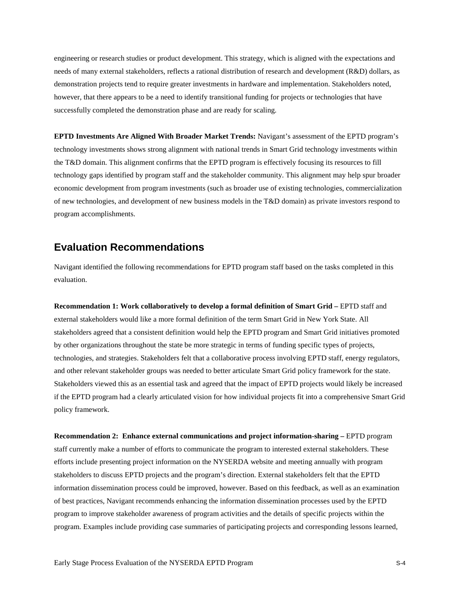engineering or research studies or product development. This strategy, which is aligned with the expectations and needs of many external stakeholders, reflects a rational distribution of research and development (R&D) dollars, as demonstration projects tend to require greater investments in hardware and implementation. Stakeholders noted, however, that there appears to be a need to identify transitional funding for projects or technologies that have successfully completed the demonstration phase and are ready for scaling.

**EPTD Investments Are Aligned With Broader Market Trends:** Navigant's assessment of the EPTD program's technology investments shows strong alignment with national trends in Smart Grid technology investments within the T&D domain. This alignment confirms that the EPTD program is effectively focusing its resources to fill technology gaps identified by program staff and the stakeholder community. This alignment may help spur broader economic development from program investments (such as broader use of existing technologies, commercialization of new technologies, and development of new business models in the T&D domain) as private investors respond to program accomplishments.

## **Evaluation Recommendations**

Navigant identified the following recommendations for EPTD program staff based on the tasks completed in this evaluation.

**Recommendation 1: Work collaboratively to develop a formal definition of Smart Grid –** EPTD staff and external stakeholders would like a more formal definition of the term Smart Grid in New York State. All stakeholders agreed that a consistent definition would help the EPTD program and Smart Grid initiatives promoted by other organizations throughout the state be more strategic in terms of funding specific types of projects, technologies, and strategies. Stakeholders felt that a collaborative process involving EPTD staff, energy regulators, and other relevant stakeholder groups was needed to better articulate Smart Grid policy framework for the state. Stakeholders viewed this as an essential task and agreed that the impact of EPTD projects would likely be increased if the EPTD program had a clearly articulated vision for how individual projects fit into a comprehensive Smart Grid policy framework.

**Recommendation 2: Enhance external communications and project information-sharing –** EPTD program staff currently make a number of efforts to communicate the program to interested external stakeholders. These efforts include presenting project information on the NYSERDA website and meeting annually with program stakeholders to discuss EPTD projects and the program's direction. External stakeholders felt that the EPTD information dissemination process could be improved, however. Based on this feedback, as well as an examination of best practices, Navigant recommends enhancing the information dissemination processes used by the EPTD program to improve stakeholder awareness of program activities and the details of specific projects within the program. Examples include providing case summaries of participating projects and corresponding lessons learned,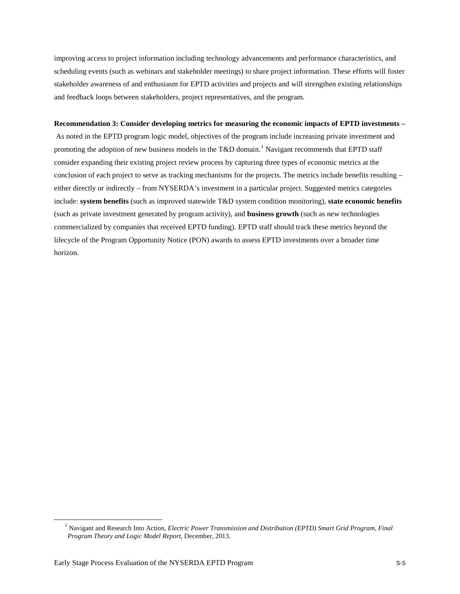improving access to project information including technology advancements and performance characteristics, and scheduling events (such as webinars and stakeholder meetings) to share project information. These efforts will foster stakeholder awareness of and enthusiasm for EPTD activities and projects and will strengthen existing relationships and feedback loops between stakeholders, project representatives, and the program.

#### **Recommendation 3: Consider developing metrics for measuring the economic impacts of EPTD investments –**

As noted in the EPTD program logic model, objectives of the program include increasing private investment and promoting the adoption of new business models in the T&D domain.<sup>[1](#page-5-0)</sup> Navigant recommends that EPTD staff consider expanding their existing project review process by capturing three types of economic metrics at the conclusion of each project to serve as tracking mechanisms for the projects. The metrics include benefits resulting – either directly or indirectly – from NYSERDA's investment in a particular project. Suggested metrics categories include: **system benefits** (such as improved statewide T&D system condition monitoring), **state economic benefits** (such as private investment generated by program activity), and **business growth** (such as new technologies commercialized by companies that received EPTD funding). EPTD staff should track these metrics beyond the lifecycle of the Program Opportunity Notice (PON) awards to assess EPTD investments over a broader time horizon.

<span id="page-5-0"></span>-

<sup>1</sup> Navigant and Research Into Action, *Electric Power Transmission and Distribution (EPTD) Smart Grid Program, Final Program Theory and Logic Model Report*, December, 2013.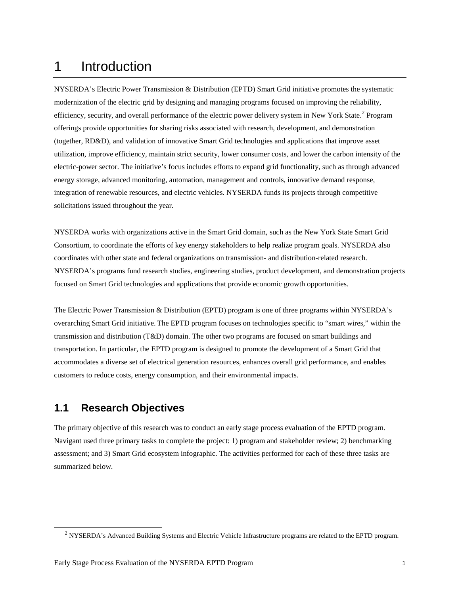# 1 Introduction

NYSERDA's Electric Power Transmission & Distribution (EPTD) Smart Grid initiative promotes the systematic modernization of the electric grid by designing and managing programs focused on improving the reliability, efficiency, security, and overall performance of the electric power delivery system in New York State.<sup>[2](#page-6-0)</sup> Program offerings provide opportunities for sharing risks associated with research, development, and demonstration (together, RD&D), and validation of innovative Smart Grid technologies and applications that improve asset utilization, improve efficiency, maintain strict security, lower consumer costs, and lower the carbon intensity of the electric-power sector. The initiative's focus includes efforts to expand grid functionality, such as through advanced energy storage, advanced monitoring, automation, management and controls, innovative demand response, integration of renewable resources, and electric vehicles. NYSERDA funds its projects through competitive solicitations issued throughout the year.

NYSERDA works with organizations active in the Smart Grid domain, such as the New York State Smart Grid Consortium, to coordinate the efforts of key energy stakeholders to help realize program goals. NYSERDA also coordinates with other state and federal organizations on transmission- and distribution-related research. NYSERDA's programs fund research studies, engineering studies, product development, and demonstration projects focused on Smart Grid technologies and applications that provide economic growth opportunities.

The Electric Power Transmission & Distribution (EPTD) program is one of three programs within NYSERDA's overarching Smart Grid initiative. The EPTD program focuses on technologies specific to "smart wires," within the transmission and distribution (T&D) domain. The other two programs are focused on smart buildings and transportation. In particular, the EPTD program is designed to promote the development of a Smart Grid that accommodates a diverse set of electrical generation resources, enhances overall grid performance, and enables customers to reduce costs, energy consumption, and their environmental impacts.

## **1.1 Research Objectives**

<span id="page-6-0"></span> $\ddot{\phantom{a}}$ 

The primary objective of this research was to conduct an early stage process evaluation of the EPTD program. Navigant used three primary tasks to complete the project: 1) program and stakeholder review; 2) benchmarking assessment; and 3) Smart Grid ecosystem infographic. The activities performed for each of these three tasks are summarized below.

<sup>&</sup>lt;sup>2</sup> NYSERDA's Advanced Building Systems and Electric Vehicle Infrastructure programs are related to the EPTD program.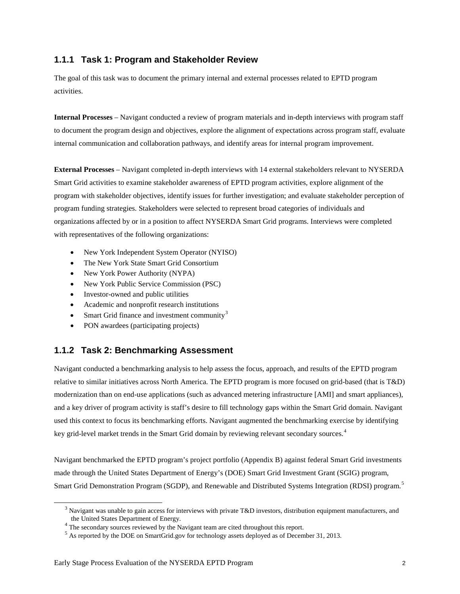## **1.1.1 Task 1: Program and Stakeholder Review**

The goal of this task was to document the primary internal and external processes related to EPTD program activities.

**Internal Processes** – Navigant conducted a review of program materials and in-depth interviews with program staff to document the program design and objectives, explore the alignment of expectations across program staff, evaluate internal communication and collaboration pathways, and identify areas for internal program improvement.

**External Processes** – Navigant completed in-depth interviews with 14 external stakeholders relevant to NYSERDA Smart Grid activities to examine stakeholder awareness of EPTD program activities, explore alignment of the program with stakeholder objectives, identify issues for further investigation; and evaluate stakeholder perception of program funding strategies. Stakeholders were selected to represent broad categories of individuals and organizations affected by or in a position to affect NYSERDA Smart Grid programs. Interviews were completed with representatives of the following organizations:

- New York Independent System Operator (NYISO)
- The New York State Smart Grid Consortium
- New York Power Authority (NYPA)
- New York Public Service Commission (PSC)
- Investor-owned and public utilities
- Academic and nonprofit research institutions
- Smart Grid finance and investment community<sup>[3](#page-7-0)</sup>
- PON awardees (participating projects)

## **1.1.2 Task 2: Benchmarking Assessment**

Navigant conducted a benchmarking analysis to help assess the focus, approach, and results of the EPTD program relative to similar initiatives across North America. The EPTD program is more focused on grid-based (that is T&D) modernization than on end-use applications (such as advanced metering infrastructure [AMI] and smart appliances), and a key driver of program activity is staff's desire to fill technology gaps within the Smart Grid domain. Navigant used this context to focus its benchmarking efforts. Navigant augmented the benchmarking exercise by identifying key grid-level market trends in the Smart Grid domain by reviewing relevant secondary sources.<sup>[4](#page-7-1)</sup>

Navigant benchmarked the EPTD program's project portfolio (Appendix B) against federal Smart Grid investments made through the United States Department of Energy's (DOE) Smart Grid Investment Grant (SGIG) program, Smart Grid Demonstration Program (SGDP), and Renewable and Distributed Systems Integration (RDSI) program.<sup>[5](#page-7-2)</sup>

<span id="page-7-2"></span><span id="page-7-1"></span><span id="page-7-0"></span> $\ddot{\phantom{a}}$ 

<sup>&</sup>lt;sup>3</sup> Navigant was unable to gain access for interviews with private T&D investors, distribution equipment manufacturers, and the United States Department of Energy.<br>
<sup>4</sup> The secondary sources reviewed by the Navigant team are cited throughout this report.<br>
<sup>5</sup> As reported by the DOE on SmartGrid.gov for technology assets deployed as of December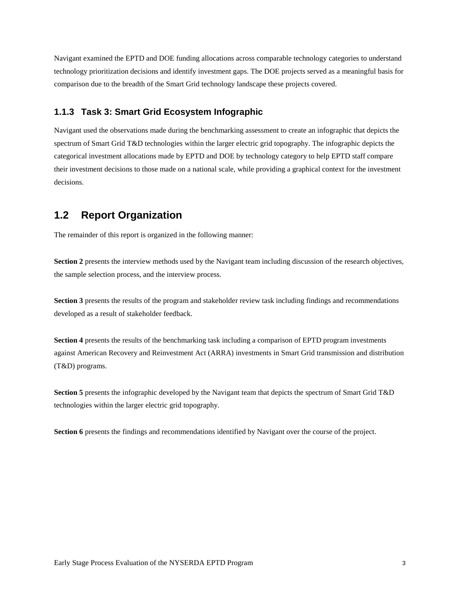Navigant examined the EPTD and DOE funding allocations across comparable technology categories to understand technology prioritization decisions and identify investment gaps. The DOE projects served as a meaningful basis for comparison due to the breadth of the Smart Grid technology landscape these projects covered.

### **1.1.3 Task 3: Smart Grid Ecosystem Infographic**

Navigant used the observations made during the benchmarking assessment to create an infographic that depicts the spectrum of Smart Grid T&D technologies within the larger electric grid topography. The infographic depicts the categorical investment allocations made by EPTD and DOE by technology category to help EPTD staff compare their investment decisions to those made on a national scale, while providing a graphical context for the investment decisions.

## **1.2 Report Organization**

The remainder of this report is organized in the following manner:

**Section 2** presents the interview methods used by the Navigant team including discussion of the research objectives, the sample selection process, and the interview process.

**Section 3** presents the results of the program and stakeholder review task including findings and recommendations developed as a result of stakeholder feedback.

**Section 4** presents the results of the benchmarking task including a comparison of EPTD program investments against American Recovery and Reinvestment Act (ARRA) investments in Smart Grid transmission and distribution (T&D) programs.

**Section 5** presents the infographic developed by the Navigant team that depicts the spectrum of Smart Grid T&D technologies within the larger electric grid topography.

**Section 6** presents the findings and recommendations identified by Navigant over the course of the project.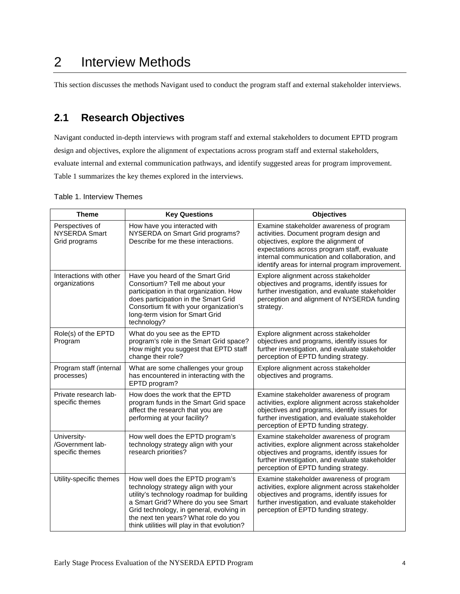# 2 Interview Methods

This section discusses the methods Navigant used to conduct the program staff and external stakeholder interviews.

## **2.1 Research Objectives**

Navigant conducted in-depth interviews with program staff and external stakeholders to document EPTD program design and objectives, explore the alignment of expectations across program staff and external stakeholders, evaluate internal and external communication pathways, and identify suggested areas for program improvement. [Table 1](#page-9-0) summarizes the key themes explored in the interviews.

| <b>Theme</b>                                             | <b>Key Questions</b>                                                                                                                                                                                                                                                                             | <b>Objectives</b>                                                                                                                                                                                                                                                               |
|----------------------------------------------------------|--------------------------------------------------------------------------------------------------------------------------------------------------------------------------------------------------------------------------------------------------------------------------------------------------|---------------------------------------------------------------------------------------------------------------------------------------------------------------------------------------------------------------------------------------------------------------------------------|
| Perspectives of<br><b>NYSERDA Smart</b><br>Grid programs | How have you interacted with<br>NYSERDA on Smart Grid programs?<br>Describe for me these interactions.                                                                                                                                                                                           | Examine stakeholder awareness of program<br>activities. Document program design and<br>objectives, explore the alignment of<br>expectations across program staff, evaluate<br>internal communication and collaboration, and<br>identify areas for internal program improvement. |
| Interactions with other<br>organizations                 | Have you heard of the Smart Grid<br>Consortium? Tell me about your<br>participation in that organization. How<br>does participation in the Smart Grid<br>Consortium fit with your organization's<br>long-term vision for Smart Grid<br>technology?                                               | Explore alignment across stakeholder<br>objectives and programs, identify issues for<br>further investigation, and evaluate stakeholder<br>perception and alignment of NYSERDA funding<br>strategy.                                                                             |
| Role(s) of the EPTD<br>Program                           | What do you see as the EPTD<br>program's role in the Smart Grid space?<br>How might you suggest that EPTD staff<br>change their role?                                                                                                                                                            | Explore alignment across stakeholder<br>objectives and programs, identify issues for<br>further investigation, and evaluate stakeholder<br>perception of EPTD funding strategy.                                                                                                 |
| Program staff (internal<br>processes)                    | What are some challenges your group<br>has encountered in interacting with the<br>EPTD program?                                                                                                                                                                                                  | Explore alignment across stakeholder<br>objectives and programs.                                                                                                                                                                                                                |
| Private research lab-<br>specific themes                 | How does the work that the EPTD<br>program funds in the Smart Grid space<br>affect the research that you are<br>performing at your facility?                                                                                                                                                     | Examine stakeholder awareness of program<br>activities, explore alignment across stakeholder<br>objectives and programs, identify issues for<br>further investigation, and evaluate stakeholder<br>perception of EPTD funding strategy.                                         |
| University-<br>/Government lab-<br>specific themes       | How well does the EPTD program's<br>technology strategy align with your<br>research priorities?                                                                                                                                                                                                  | Examine stakeholder awareness of program<br>activities, explore alignment across stakeholder<br>objectives and programs, identify issues for<br>further investigation, and evaluate stakeholder<br>perception of EPTD funding strategy.                                         |
| Utility-specific themes                                  | How well does the EPTD program's<br>technology strategy align with your<br>utility's technology roadmap for building<br>a Smart Grid? Where do you see Smart<br>Grid technology, in general, evolving in<br>the next ten years? What role do you<br>think utilities will play in that evolution? | Examine stakeholder awareness of program<br>activities, explore alignment across stakeholder<br>objectives and programs, identify issues for<br>further investigation, and evaluate stakeholder<br>perception of EPTD funding strategy.                                         |

#### <span id="page-9-0"></span>Table 1. Interview Themes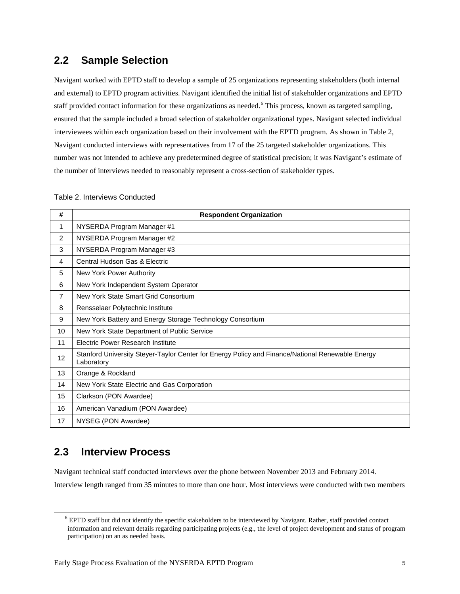## **2.2 Sample Selection**

Navigant worked with EPTD staff to develop a sample of 25 organizations representing stakeholders (both internal and external) to EPTD program activities. Navigant identified the initial list of stakeholder organizations and EPTD staff provided contact information for these organizations as needed.<sup>[6](#page-10-1)</sup> This process, known as targeted sampling, ensured that the sample included a broad selection of stakeholder organizational types. Navigant selected individual interviewees within each organization based on their involvement with the EPTD program. As shown in [Table 2,](#page-10-0) Navigant conducted interviews with representatives from 17 of the 25 targeted stakeholder organizations. This number was not intended to achieve any predetermined degree of statistical precision; it was Navigant's estimate of the number of interviews needed to reasonably represent a cross-section of stakeholder types.

#### <span id="page-10-0"></span>Table 2. Interviews Conducted

| #               | <b>Respondent Organization</b>                                                                                 |
|-----------------|----------------------------------------------------------------------------------------------------------------|
| 1               | NYSERDA Program Manager #1                                                                                     |
| 2               | NYSERDA Program Manager #2                                                                                     |
| 3               | NYSERDA Program Manager #3                                                                                     |
| 4               | Central Hudson Gas & Electric                                                                                  |
| 5               | New York Power Authority                                                                                       |
| 6               | New York Independent System Operator                                                                           |
| 7               | New York State Smart Grid Consortium                                                                           |
| 8               | Rensselaer Polytechnic Institute                                                                               |
| 9               | New York Battery and Energy Storage Technology Consortium                                                      |
| 10              | New York State Department of Public Service                                                                    |
| 11              | <b>Electric Power Research Institute</b>                                                                       |
| 12 <sup>2</sup> | Stanford University Steyer-Taylor Center for Energy Policy and Finance/National Renewable Energy<br>Laboratory |
| 13              | Orange & Rockland                                                                                              |
| 14              | New York State Electric and Gas Corporation                                                                    |
| 15              | Clarkson (PON Awardee)                                                                                         |
| 16              | American Vanadium (PON Awardee)                                                                                |
| 17              | NYSEG (PON Awardee)                                                                                            |

## **2.3 Interview Process**

<span id="page-10-1"></span> $\overline{a}$ 

Navigant technical staff conducted interviews over the phone between November 2013 and February 2014.

Interview length ranged from 35 minutes to more than one hour. Most interviews were conducted with two members

<sup>&</sup>lt;sup>6</sup> EPTD staff but did not identify the specific stakeholders to be interviewed by Navigant. Rather, staff provided contact information and relevant details regarding participating projects (e.g., the level of project development and status of program participation) on an as needed basis.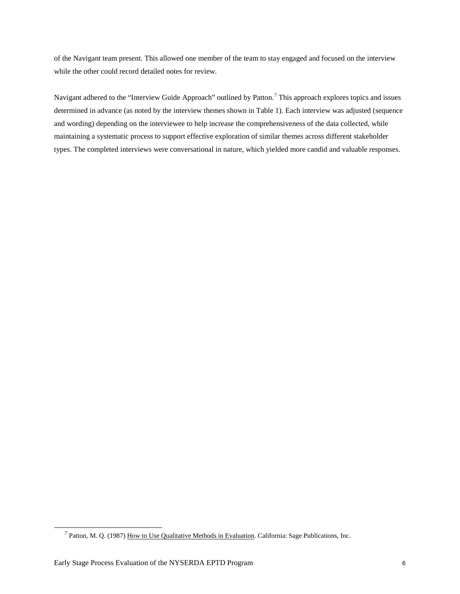of the Navigant team present. This allowed one member of the team to stay engaged and focused on the interview while the other could record detailed notes for review.

Navigant adhered to the "Interview Guide Approach" outlined by Patton.<sup>[7](#page-11-0)</sup> This approach explores topics and issues determined in advance (as noted by the interview themes shown in [Table 1\)](#page-9-0). Each interview was adjusted (sequence and wording) depending on the interviewee to help increase the comprehensiveness of the data collected, while maintaining a systematic process to support effective exploration of similar themes across different stakeholder types. The completed interviews were conversational in nature, which yielded more candid and valuable responses.

<span id="page-11-0"></span> $\ddot{\phantom{a}}$ 

<sup>&</sup>lt;sup>7</sup> Patton, M. Q. (1987) How to Use Qualitative Methods in Evaluation. California: Sage Publications, Inc.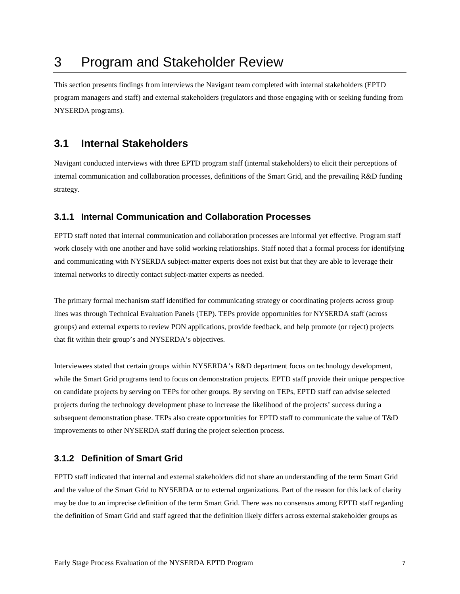# 3 Program and Stakeholder Review

This section presents findings from interviews the Navigant team completed with internal stakeholders (EPTD program managers and staff) and external stakeholders (regulators and those engaging with or seeking funding from NYSERDA programs).

## **3.1 Internal Stakeholders**

Navigant conducted interviews with three EPTD program staff (internal stakeholders) to elicit their perceptions of internal communication and collaboration processes, definitions of the Smart Grid, and the prevailing R&D funding strategy.

### **3.1.1 Internal Communication and Collaboration Processes**

EPTD staff noted that internal communication and collaboration processes are informal yet effective. Program staff work closely with one another and have solid working relationships. Staff noted that a formal process for identifying and communicating with NYSERDA subject-matter experts does not exist but that they are able to leverage their internal networks to directly contact subject-matter experts as needed.

The primary formal mechanism staff identified for communicating strategy or coordinating projects across group lines was through Technical Evaluation Panels (TEP). TEPs provide opportunities for NYSERDA staff (across groups) and external experts to review PON applications, provide feedback, and help promote (or reject) projects that fit within their group's and NYSERDA's objectives.

Interviewees stated that certain groups within NYSERDA's R&D department focus on technology development, while the Smart Grid programs tend to focus on demonstration projects. EPTD staff provide their unique perspective on candidate projects by serving on TEPs for other groups. By serving on TEPs, EPTD staff can advise selected projects during the technology development phase to increase the likelihood of the projects' success during a subsequent demonstration phase. TEPs also create opportunities for EPTD staff to communicate the value of T&D improvements to other NYSERDA staff during the project selection process.

### **3.1.2 Definition of Smart Grid**

EPTD staff indicated that internal and external stakeholders did not share an understanding of the term Smart Grid and the value of the Smart Grid to NYSERDA or to external organizations. Part of the reason for this lack of clarity may be due to an imprecise definition of the term Smart Grid. There was no consensus among EPTD staff regarding the definition of Smart Grid and staff agreed that the definition likely differs across external stakeholder groups as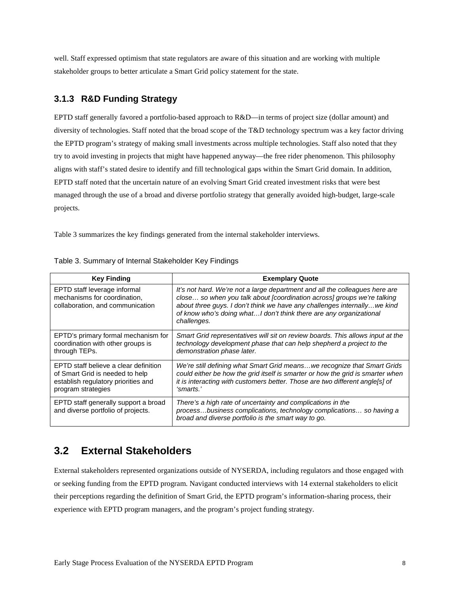well. Staff expressed optimism that state regulators are aware of this situation and are working with multiple stakeholder groups to better articulate a Smart Grid policy statement for the state.

## **3.1.3 R&D Funding Strategy**

EPTD staff generally favored a portfolio-based approach to R&D—in terms of project size (dollar amount) and diversity of technologies. Staff noted that the broad scope of the T&D technology spectrum was a key factor driving the EPTD program's strategy of making small investments across multiple technologies. Staff also noted that they try to avoid investing in projects that might have happened anyway—the free rider phenomenon. This philosophy aligns with staff's stated desire to identify and fill technological gaps within the Smart Grid domain. In addition, EPTD staff noted that the uncertain nature of an evolving Smart Grid created investment risks that were best managed through the use of a broad and diverse portfolio strategy that generally avoided high-budget, large-scale projects.

[Table 3](#page-13-0) summarizes the key findings generated from the internal stakeholder interviews.

| <b>Key Finding</b>                                                                                                                    | <b>Exemplary Quote</b>                                                                                                                                                                                                                                                                                                    |
|---------------------------------------------------------------------------------------------------------------------------------------|---------------------------------------------------------------------------------------------------------------------------------------------------------------------------------------------------------------------------------------------------------------------------------------------------------------------------|
| EPTD staff leverage informal<br>mechanisms for coordination,<br>collaboration, and communication                                      | It's not hard. We're not a large department and all the colleagues here are<br>close so when you talk about [coordination across] groups we're talking<br>about three guys. I don't think we have any challenges internally we kind<br>of know who's doing what I don't think there are any organizational<br>challenges. |
| EPTD's primary formal mechanism for<br>coordination with other groups is<br>through TEPs.                                             | Smart Grid representatives will sit on review boards. This allows input at the<br>technology development phase that can help shepherd a project to the<br>demonstration phase later.                                                                                                                                      |
| EPTD staff believe a clear definition<br>of Smart Grid is needed to help<br>establish regulatory priorities and<br>program strategies | We're still defining what Smart Grid meanswe recognize that Smart Grids<br>could either be how the grid itself is smarter or how the grid is smarter when<br>it is interacting with customers better. Those are two different angle[s] of<br>'smarts.'                                                                    |
| EPTD staff generally support a broad<br>and diverse portfolio of projects.                                                            | There's a high rate of uncertainty and complications in the<br>processbusiness complications, technology complications so having a<br>broad and diverse portfolio is the smart way to go.                                                                                                                                 |

<span id="page-13-0"></span>

|  | Table 3. Summary of Internal Stakeholder Key Findings |  |
|--|-------------------------------------------------------|--|
|--|-------------------------------------------------------|--|

## **3.2 External Stakeholders**

External stakeholders represented organizations outside of NYSERDA, including regulators and those engaged with or seeking funding from the EPTD program. Navigant conducted interviews with 14 external stakeholders to elicit their perceptions regarding the definition of Smart Grid, the EPTD program's information-sharing process, their experience with EPTD program managers, and the program's project funding strategy.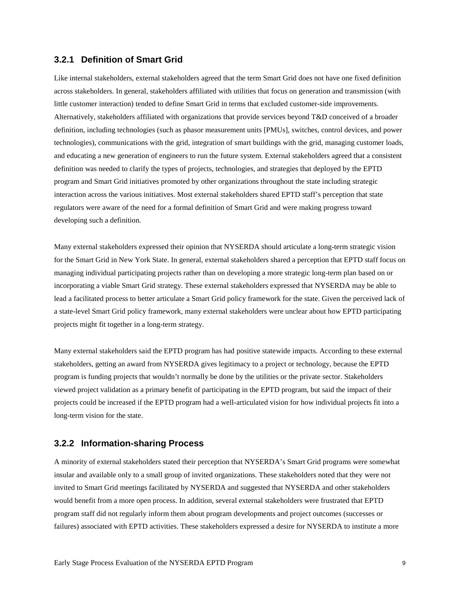### **3.2.1 Definition of Smart Grid**

Like internal stakeholders, external stakeholders agreed that the term Smart Grid does not have one fixed definition across stakeholders. In general, stakeholders affiliated with utilities that focus on generation and transmission (with little customer interaction) tended to define Smart Grid in terms that excluded customer-side improvements. Alternatively, stakeholders affiliated with organizations that provide services beyond T&D conceived of a broader definition, including technologies (such as phasor measurement units [PMUs], switches, control devices, and power technologies), communications with the grid, integration of smart buildings with the grid, managing customer loads, and educating a new generation of engineers to run the future system. External stakeholders agreed that a consistent definition was needed to clarify the types of projects, technologies, and strategies that deployed by the EPTD program and Smart Grid initiatives promoted by other organizations throughout the state including strategic interaction across the various initiatives. Most external stakeholders shared EPTD staff's perception that state regulators were aware of the need for a formal definition of Smart Grid and were making progress toward developing such a definition.

Many external stakeholders expressed their opinion that NYSERDA should articulate a long-term strategic vision for the Smart Grid in New York State. In general, external stakeholders shared a perception that EPTD staff focus on managing individual participating projects rather than on developing a more strategic long-term plan based on or incorporating a viable Smart Grid strategy. These external stakeholders expressed that NYSERDA may be able to lead a facilitated process to better articulate a Smart Grid policy framework for the state. Given the perceived lack of a state-level Smart Grid policy framework, many external stakeholders were unclear about how EPTD participating projects might fit together in a long-term strategy.

Many external stakeholders said the EPTD program has had positive statewide impacts. According to these external stakeholders, getting an award from NYSERDA gives legitimacy to a project or technology, because the EPTD program is funding projects that wouldn't normally be done by the utilities or the private sector. Stakeholders viewed project validation as a primary benefit of participating in the EPTD program, but said the impact of their projects could be increased if the EPTD program had a well-articulated vision for how individual projects fit into a long-term vision for the state.

#### **3.2.2 Information-sharing Process**

A minority of external stakeholders stated their perception that NYSERDA's Smart Grid programs were somewhat insular and available only to a small group of invited organizations. These stakeholders noted that they were not invited to Smart Grid meetings facilitated by NYSERDA and suggested that NYSERDA and other stakeholders would benefit from a more open process. In addition, several external stakeholders were frustrated that EPTD program staff did not regularly inform them about program developments and project outcomes (successes or failures) associated with EPTD activities. These stakeholders expressed a desire for NYSERDA to institute a more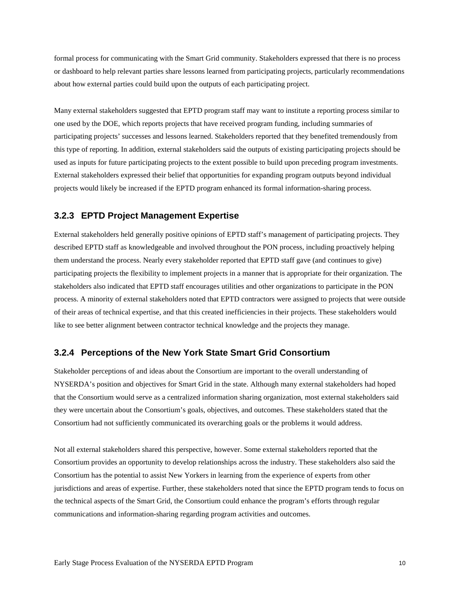formal process for communicating with the Smart Grid community. Stakeholders expressed that there is no process or dashboard to help relevant parties share lessons learned from participating projects, particularly recommendations about how external parties could build upon the outputs of each participating project.

Many external stakeholders suggested that EPTD program staff may want to institute a reporting process similar to one used by the DOE, which reports projects that have received program funding, including summaries of participating projects' successes and lessons learned. Stakeholders reported that they benefited tremendously from this type of reporting. In addition, external stakeholders said the outputs of existing participating projects should be used as inputs for future participating projects to the extent possible to build upon preceding program investments. External stakeholders expressed their belief that opportunities for expanding program outputs beyond individual projects would likely be increased if the EPTD program enhanced its formal information-sharing process.

### **3.2.3 EPTD Project Management Expertise**

External stakeholders held generally positive opinions of EPTD staff's management of participating projects. They described EPTD staff as knowledgeable and involved throughout the PON process, including proactively helping them understand the process. Nearly every stakeholder reported that EPTD staff gave (and continues to give) participating projects the flexibility to implement projects in a manner that is appropriate for their organization. The stakeholders also indicated that EPTD staff encourages utilities and other organizations to participate in the PON process. A minority of external stakeholders noted that EPTD contractors were assigned to projects that were outside of their areas of technical expertise, and that this created inefficiencies in their projects. These stakeholders would like to see better alignment between contractor technical knowledge and the projects they manage.

### **3.2.4 Perceptions of the New York State Smart Grid Consortium**

Stakeholder perceptions of and ideas about the Consortium are important to the overall understanding of NYSERDA's position and objectives for Smart Grid in the state. Although many external stakeholders had hoped that the Consortium would serve as a centralized information sharing organization, most external stakeholders said they were uncertain about the Consortium's goals, objectives, and outcomes. These stakeholders stated that the Consortium had not sufficiently communicated its overarching goals or the problems it would address.

Not all external stakeholders shared this perspective, however. Some external stakeholders reported that the Consortium provides an opportunity to develop relationships across the industry. These stakeholders also said the Consortium has the potential to assist New Yorkers in learning from the experience of experts from other jurisdictions and areas of expertise. Further, these stakeholders noted that since the EPTD program tends to focus on the technical aspects of the Smart Grid, the Consortium could enhance the program's efforts through regular communications and information-sharing regarding program activities and outcomes.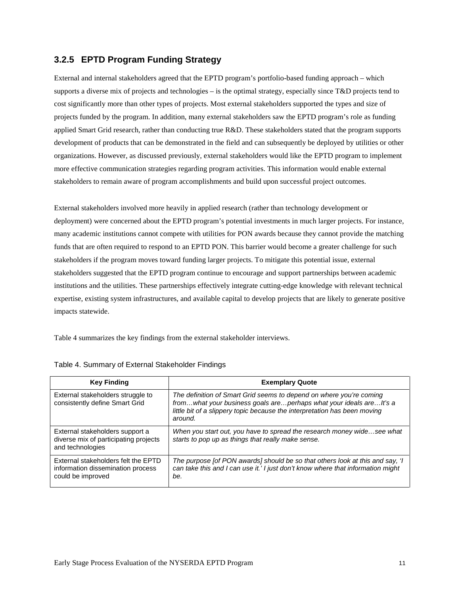## **3.2.5 EPTD Program Funding Strategy**

External and internal stakeholders agreed that the EPTD program's portfolio-based funding approach – which supports a diverse mix of projects and technologies – is the optimal strategy, especially since T&D projects tend to cost significantly more than other types of projects. Most external stakeholders supported the types and size of projects funded by the program. In addition, many external stakeholders saw the EPTD program's role as funding applied Smart Grid research, rather than conducting true R&D. These stakeholders stated that the program supports development of products that can be demonstrated in the field and can subsequently be deployed by utilities or other organizations. However, as discussed previously, external stakeholders would like the EPTD program to implement more effective communication strategies regarding program activities. This information would enable external stakeholders to remain aware of program accomplishments and build upon successful project outcomes.

External stakeholders involved more heavily in applied research (rather than technology development or deployment) were concerned about the EPTD program's potential investments in much larger projects. For instance, many academic institutions cannot compete with utilities for PON awards because they cannot provide the matching funds that are often required to respond to an EPTD PON. This barrier would become a greater challenge for such stakeholders if the program moves toward funding larger projects. To mitigate this potential issue, external stakeholders suggested that the EPTD program continue to encourage and support partnerships between academic institutions and the utilities. These partnerships effectively integrate cutting-edge knowledge with relevant technical expertise, existing system infrastructures, and available capital to develop projects that are likely to generate positive impacts statewide.

[Table 4](#page-16-0) summarizes the key findings from the external stakeholder interviews.

| <b>Key Finding</b>                                                                            | <b>Exemplary Quote</b>                                                                                                                                                                                                            |  |  |
|-----------------------------------------------------------------------------------------------|-----------------------------------------------------------------------------------------------------------------------------------------------------------------------------------------------------------------------------------|--|--|
| External stakeholders struggle to<br>consistently define Smart Grid                           | The definition of Smart Grid seems to depend on where you're coming<br>fromwhat your business goals areperhaps what your ideals arelt's a<br>little bit of a slippery topic because the interpretation has been moving<br>around. |  |  |
| External stakeholders support a<br>diverse mix of participating projects<br>and technologies  | When you start out, you have to spread the research money widesee what<br>starts to pop up as things that really make sense.                                                                                                      |  |  |
| External stakeholders felt the EPTD<br>information dissemination process<br>could be improved | The purpose [of PON awards] should be so that others look at this and say, 'I<br>can take this and I can use it.' I just don't know where that information might<br>be.                                                           |  |  |

<span id="page-16-0"></span>

| Table 4. Summary of External Stakeholder Findings |  |
|---------------------------------------------------|--|
|---------------------------------------------------|--|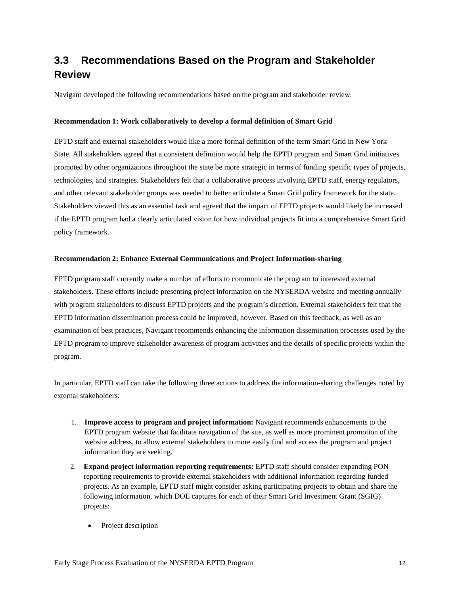## **3.3 Recommendations Based on the Program and Stakeholder Review**

Navigant developed the following recommendations based on the program and stakeholder review.

#### **Recommendation 1: Work collaboratively to develop a formal definition of Smart Grid**

EPTD staff and external stakeholders would like a more formal definition of the term Smart Grid in New York State. All stakeholders agreed that a consistent definition would help the EPTD program and Smart Grid initiatives promoted by other organizations throughout the state be more strategic in terms of funding specific types of projects, technologies, and strategies. Stakeholders felt that a collaborative process involving EPTD staff, energy regulators, and other relevant stakeholder groups was needed to better articulate a Smart Grid policy framework for the state. Stakeholders viewed this as an essential task and agreed that the impact of EPTD projects would likely be increased if the EPTD program had a clearly articulated vision for how individual projects fit into a comprehensive Smart Grid policy framework.

#### **Recommendation 2: Enhance External Communications and Project Information-sharing**

EPTD program staff currently make a number of efforts to communicate the program to interested external stakeholders. These efforts include presenting project information on the NYSERDA website and meeting annually with program stakeholders to discuss EPTD projects and the program's direction. External stakeholders felt that the EPTD information dissemination process could be improved, however. Based on this feedback, as well as an examination of best practices, Navigant recommends enhancing the information dissemination processes used by the EPTD program to improve stakeholder awareness of program activities and the details of specific projects within the program.

In particular, EPTD staff can take the following three actions to address the information-sharing challenges noted by external stakeholders:

- 1. **Improve access to program and project information:** Navigant recommends enhancements to the EPTD program website that facilitate navigation of the site, as well as more prominent promotion of the website address, to allow external stakeholders to more easily find and access the program and project information they are seeking.
- 2. **Expand project information reporting requirements:** EPTD staff should consider expanding PON reporting requirements to provide external stakeholders with additional information regarding funded projects. As an example, EPTD staff might consider asking participating projects to obtain and share the following information, which DOE captures for each of their Smart Grid Investment Grant (SGIG) projects:
	- Project description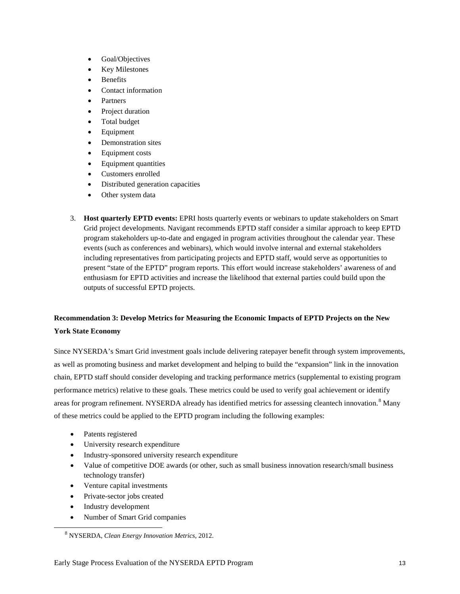- Goal/Objectives
- **Key Milestones**
- **Benefits**
- Contact information
- **Partners**
- Project duration
- Total budget
- **Equipment**
- Demonstration sites
- Equipment costs
- Equipment quantities
- Customers enrolled
- Distributed generation capacities
- Other system data
- 3. **Host quarterly EPTD events:** EPRI hosts quarterly events or webinars to update stakeholders on Smart Grid project developments. Navigant recommends EPTD staff consider a similar approach to keep EPTD program stakeholders up-to-date and engaged in program activities throughout the calendar year. These events (such as conferences and webinars), which would involve internal and external stakeholders including representatives from participating projects and EPTD staff, would serve as opportunities to present "state of the EPTD" program reports. This effort would increase stakeholders' awareness of and enthusiasm for EPTD activities and increase the likelihood that external parties could build upon the outputs of successful EPTD projects.

## **Recommendation 3: Develop Metrics for Measuring the Economic Impacts of EPTD Projects on the New York State Economy**

Since NYSERDA's Smart Grid investment goals include delivering ratepayer benefit through system improvements, as well as promoting business and market development and helping to build the "expansion" link in the innovation chain, EPTD staff should consider developing and tracking performance metrics (supplemental to existing program performance metrics) relative to these goals. These metrics could be used to verify goal achievement or identify areas for program refinement. NYSERDA already has identified metrics for assessing cleantech innovation.<sup>[8](#page-18-0)</sup> Many of these metrics could be applied to the EPTD program including the following examples:

- Patents registered
- University research expenditure
- Industry-sponsored university research expenditure
- Value of competitive DOE awards (or other, such as small business innovation research/small business technology transfer)
- Venture capital investments
- Private-sector jobs created
- Industry development

<span id="page-18-0"></span> $\ddot{\phantom{a}}$ 

• Number of Smart Grid companies

<sup>8</sup> NYSERDA, *Clean Energy Innovation Metrics*, 2012.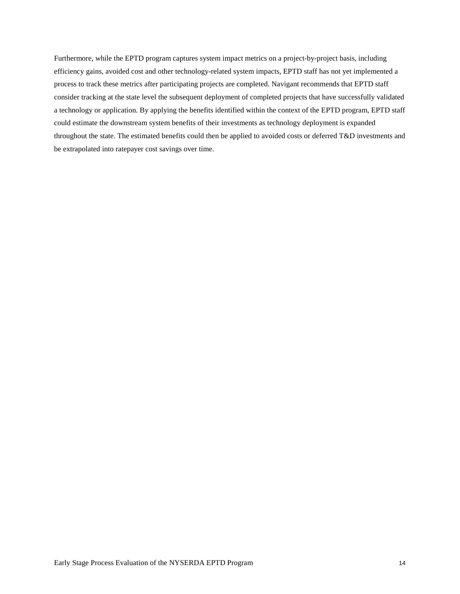Furthermore, while the EPTD program captures system impact metrics on a project-by-project basis, including efficiency gains, avoided cost and other technology-related system impacts, EPTD staff has not yet implemented a process to track these metrics after participating projects are completed. Navigant recommends that EPTD staff consider tracking at the state level the subsequent deployment of completed projects that have successfully validated a technology or application. By applying the benefits identified within the context of the EPTD program, EPTD staff could estimate the downstream system benefits of their investments as technology deployment is expanded throughout the state. The estimated benefits could then be applied to avoided costs or deferred T&D investments and be extrapolated into ratepayer cost savings over time.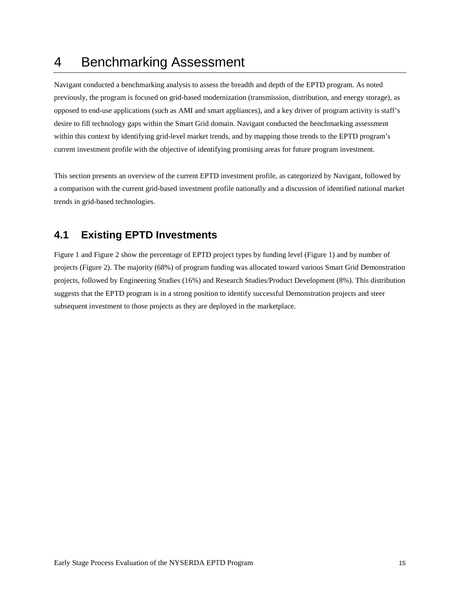# 4 Benchmarking Assessment

Navigant conducted a benchmarking analysis to assess the breadth and depth of the EPTD program. As noted previously, the program is focused on grid-based modernization (transmission, distribution, and energy storage), as opposed to end-use applications (such as AMI and smart appliances), and a key driver of program activity is staff's desire to fill technology gaps within the Smart Grid domain. Navigant conducted the benchmarking assessment within this context by identifying grid-level market trends, and by mapping those trends to the EPTD program's current investment profile with the objective of identifying promising areas for future program investment.

This section presents an overview of the current EPTD investment profile, as categorized by Navigant, followed by a comparison with the current grid-based investment profile nationally and a discussion of identified national market trends in grid-based technologies.

## **4.1 Existing EPTD Investments**

Figure 1 and Figure 2 show the percentage of EPTD project types by funding level (Figure 1) and by number of projects (Figure 2). The majority (68%) of program funding was allocated toward various Smart Grid Demonstration projects, followed by Engineering Studies (16%) and Research Studies/Product Development (8%). This distribution suggests that the EPTD program is in a strong position to identify successful Demonstration projects and steer subsequent investment to those projects as they are deployed in the marketplace.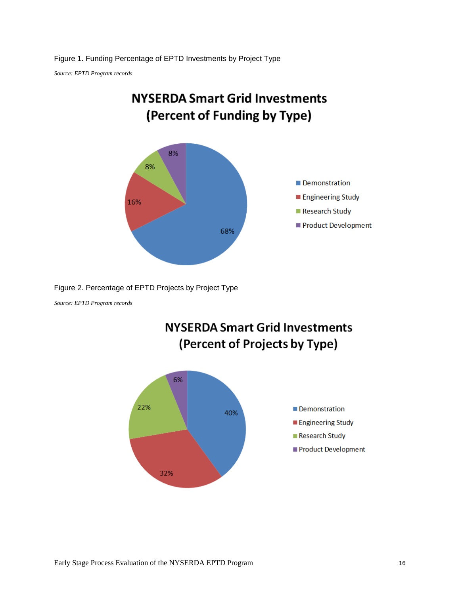*Source: EPTD Program records*



Figure 2. Percentage of EPTD Projects by Project Type

*Source: EPTD Program records*



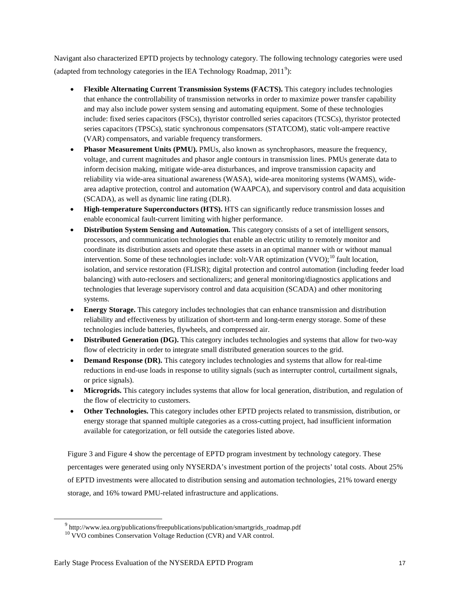Navigant also characterized EPTD projects by technology category. The following technology categories were used (adapted from technology categories in the IEA Technology Roadmap,  $2011^9$  $2011^9$ ):

- **Flexible Alternating Current Transmission Systems (FACTS).** This category includes technologies that enhance the controllability of transmission networks in order to maximize power transfer capability and may also include power system sensing and automating equipment. Some of these technologies include: fixed series capacitors (FSCs), thyristor controlled series capacitors (TCSCs), thyristor protected series capacitors (TPSCs), static synchronous compensators (STATCOM), static volt-ampere reactive (VAR) compensators, and variable frequency transformers.
- **Phasor Measurement Units (PMU).** PMUs, also known as synchrophasors, measure the frequency, voltage, and current magnitudes and phasor angle contours in transmission lines. PMUs generate data to inform decision making, mitigate wide-area disturbances, and improve transmission capacity and reliability via wide-area situational awareness (WASA), wide-area monitoring systems (WAMS), widearea adaptive protection, control and automation (WAAPCA), and supervisory control and data acquisition (SCADA), as well as dynamic line rating (DLR).
- **High-temperature Superconductors (HTS).** HTS can significantly reduce transmission losses and enable economical fault-current limiting with higher performance.
- **Distribution System Sensing and Automation.** This category consists of a set of intelligent sensors, processors, and communication technologies that enable an electric utility to remotely monitor and coordinate its distribution assets and operate these assets in an optimal manner with or without manual intervention. Some of these technologies include: volt-VAR optimization  $(VVO)$ ;<sup>[10](#page-22-1)</sup> fault location, isolation, and service restoration (FLISR); digital protection and control automation (including feeder load balancing) with auto-reclosers and sectionalizers; and general monitoring/diagnostics applications and technologies that leverage supervisory control and data acquisition (SCADA) and other monitoring systems.
- **Energy Storage.** This category includes technologies that can enhance transmission and distribution reliability and effectiveness by utilization of short-term and long-term energy storage. Some of these technologies include batteries, flywheels, and compressed air.
- **Distributed Generation (DG).** This category includes technologies and systems that allow for two-way flow of electricity in order to integrate small distributed generation sources to the grid.
- **Demand Response (DR).** This category includes technologies and systems that allow for real-time reductions in end-use loads in response to utility signals (such as interrupter control, curtailment signals, or price signals).
- **Microgrids.** This category includes systems that allow for local generation, distribution, and regulation of the flow of electricity to customers.
- **Other Technologies.** This category includes other EPTD projects related to transmission, distribution, or energy storage that spanned multiple categories as a cross-cutting project, had insufficient information available for categorization, or fell outside the categories listed above.

Figure 3 and [Figure 4](#page-23-0) show the percentage of EPTD program investment by technology category. These percentages were generated using only NYSERDA's investment portion of the projects' total costs. About 25% of EPTD investments were allocated to distribution sensing and automation technologies, 21% toward energy storage, and 16% toward PMU-related infrastructure and applications.

<span id="page-22-1"></span><span id="page-22-0"></span> $\ddot{\phantom{a}}$ 

<sup>&</sup>lt;sup>9</sup> http://www.iea.org/publications/freepublications/publication/smartgrids\_roadmap.pdf

<sup>&</sup>lt;sup>10</sup> VVO combines Conservation Voltage Reduction (CVR) and VAR control.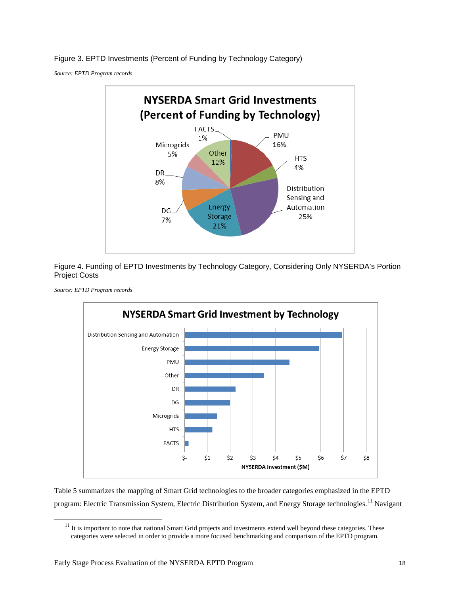Figure 3. EPTD Investments (Percent of Funding by Technology Category)

*Source: EPTD Program records*



<span id="page-23-0"></span>Figure 4. Funding of EPTD Investments by Technology Category, Considering Only NYSERDA's Portion Project Costs



*Source: EPTD Program records*

<span id="page-23-1"></span>-

[Table 5](#page-24-0) summarizes the mapping of Smart Grid technologies to the broader categories emphasized in the EPTD program: Electric Transmission System, Electric Distribution System, and Energy Storage technologies.<sup>[11](#page-23-1)</sup> Navigant

 $11$  It is important to note that national Smart Grid projects and investments extend well beyond these categories. These categories were selected in order to provide a more focused benchmarking and comparison of the EPTD program.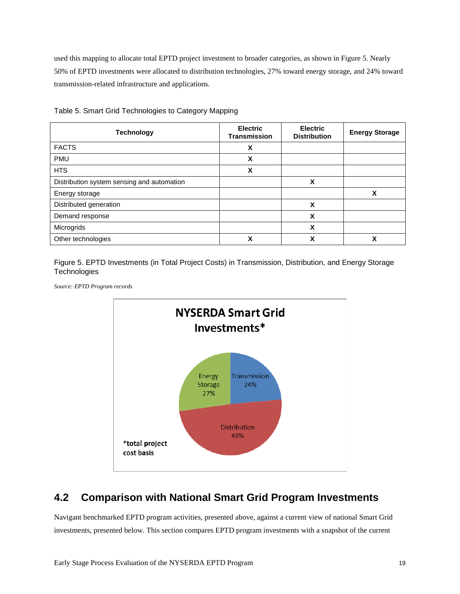used this mapping to allocate total EPTD project investment to broader categories, as shown in [Figure 5.](#page-24-1) Nearly 50% of EPTD investments were allocated to distribution technologies, 27% toward energy storage, and 24% toward transmission-related infrastructure and applications.

| <b>Technology</b>                          | <b>Electric</b><br><b>Transmission</b> | <b>Electric</b><br><b>Distribution</b> | <b>Energy Storage</b> |
|--------------------------------------------|----------------------------------------|----------------------------------------|-----------------------|
| <b>FACTS</b>                               | X                                      |                                        |                       |
| <b>PMU</b>                                 | X                                      |                                        |                       |
| <b>HTS</b>                                 | X                                      |                                        |                       |
| Distribution system sensing and automation |                                        | X                                      |                       |
| Energy storage                             |                                        |                                        | χ                     |
| Distributed generation                     |                                        | X                                      |                       |
| Demand response                            |                                        | X                                      |                       |
| Microgrids                                 |                                        | X                                      |                       |
| Other technologies                         | X                                      | χ                                      | χ                     |

<span id="page-24-0"></span>Table 5. Smart Grid Technologies to Category Mapping

<span id="page-24-1"></span>Figure 5. EPTD Investments (in Total Project Costs) in Transmission, Distribution, and Energy Storage **Technologies** 

*Source: EPTD Program records*



## **4.2 Comparison with National Smart Grid Program Investments**

Navigant benchmarked EPTD program activities, presented above, against a current view of national Smart Grid investments, presented below. This section compares EPTD program investments with a snapshot of the current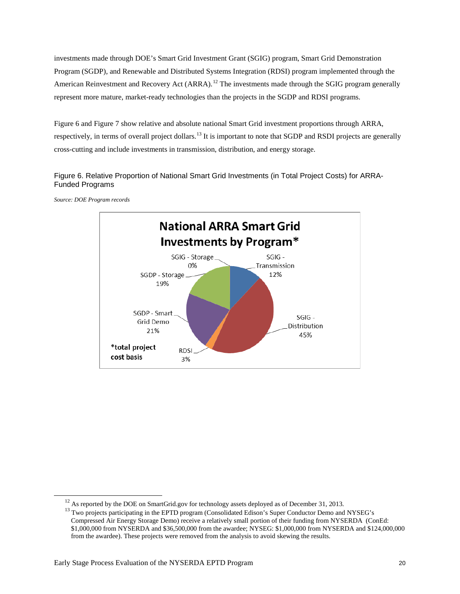investments made through DOE's Smart Grid Investment Grant (SGIG) program, Smart Grid Demonstration Program (SGDP), and Renewable and Distributed Systems Integration (RDSI) program implemented through the American Reinvestment and Recovery Act (ARRA).<sup>[12](#page-25-1)</sup> The investments made through the SGIG program generally represent more mature, market-ready technologies than the projects in the SGDP and RDSI programs.

[Figure 6](#page-25-0) and [Figure 7](#page-26-0) show relative and absolute national Smart Grid investment proportions through ARRA, respectively, in terms of overall project dollars.<sup>[13](#page-25-2)</sup> It is important to note that SGDP and RSDI projects are generally cross-cutting and include investments in transmission, distribution, and energy storage.

### <span id="page-25-0"></span>Figure 6. Relative Proportion of National Smart Grid Investments (in Total Project Costs) for ARRA-Funded Programs



*Source: DOE Program records*

<span id="page-25-2"></span><span id="page-25-1"></span>-

<sup>&</sup>lt;sup>12</sup> As reported by the DOE on SmartGrid.gov for technology assets deployed as of December 31, 2013.<br><sup>13</sup> Two projects participating in the EPTD program (Consolidated Edison's Super Conductor Demo and NYSEG's Compressed Air Energy Storage Demo) receive a relatively small portion of their funding from NYSERDA (ConEd: \$1,000,000 from NYSERDA and \$36,500,000 from the awardee; NYSEG: \$1,000,000 from NYSERDA and \$124,000,000 from the awardee). These projects were removed from the analysis to avoid skewing the results.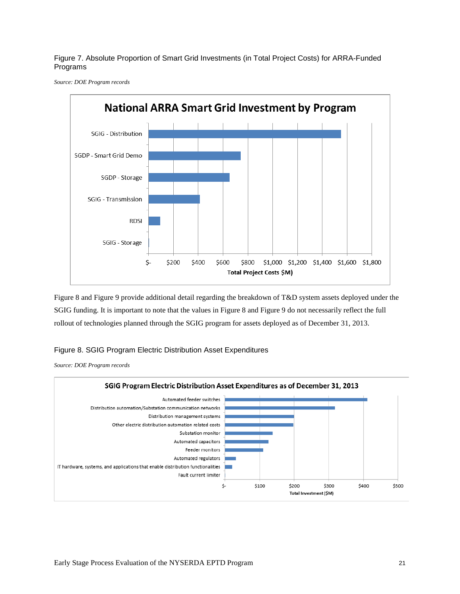<span id="page-26-0"></span>Figure 7. Absolute Proportion of Smart Grid Investments (in Total Project Costs) for ARRA-Funded Programs

*Source: DOE Program records*



[Figure 8](#page-26-1) and [Figure 9](#page-27-0) provide additional detail regarding the breakdown of T&D system assets deployed under the SGIG funding. It is important to note that the values i[n Figure 8](#page-26-1) an[d Figure 9](#page-27-0) do not necessarily reflect the full rollout of technologies planned through the SGIG program for assets deployed as of December 31, 2013.

### <span id="page-26-1"></span>Figure 8. SGIG Program Electric Distribution Asset Expenditures

*Source: DOE Program records*

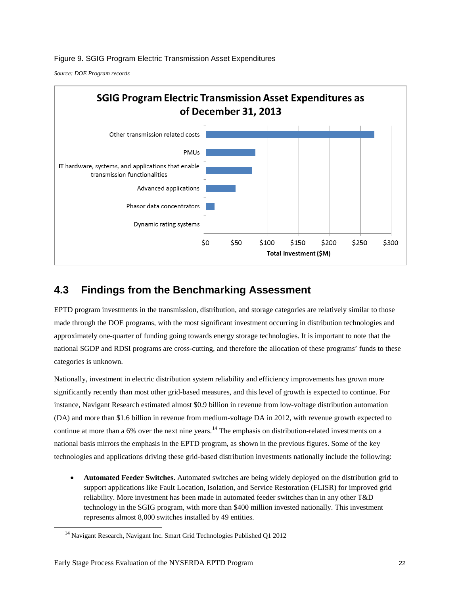<span id="page-27-0"></span>Figure 9. SGIG Program Electric Transmission Asset Expenditures

*Source: DOE Program records*



## **4.3 Findings from the Benchmarking Assessment**

EPTD program investments in the transmission, distribution, and storage categories are relatively similar to those made through the DOE programs, with the most significant investment occurring in distribution technologies and approximately one-quarter of funding going towards energy storage technologies. It is important to note that the national SGDP and RDSI programs are cross-cutting, and therefore the allocation of these programs' funds to these categories is unknown.

Nationally, investment in electric distribution system reliability and efficiency improvements has grown more significantly recently than most other grid-based measures, and this level of growth is expected to continue. For instance, Navigant Research estimated almost \$0.9 billion in revenue from low-voltage distribution automation (DA) and more than \$1.6 billion in revenue from medium-voltage DA in 2012, with revenue growth expected to continue at more than a 6% over the next nine years.<sup>[14](#page-27-1)</sup> The emphasis on distribution-related investments on a national basis mirrors the emphasis in the EPTD program, as shown in the previous figures. Some of the key technologies and applications driving these grid-based distribution investments nationally include the following:

• **Automated Feeder Switches.** Automated switches are being widely deployed on the distribution grid to support applications like Fault Location, Isolation, and Service Restoration (FLISR) for improved grid reliability. More investment has been made in automated feeder switches than in any other T&D technology in the SGIG program, with more than \$400 million invested nationally. This investment represents almost 8,000 switches installed by 49 entities.

<span id="page-27-1"></span> $\ddot{\phantom{a}}$ 

<sup>&</sup>lt;sup>14</sup> Navigant Research, Navigant Inc. Smart Grid Technologies Published Q1 2012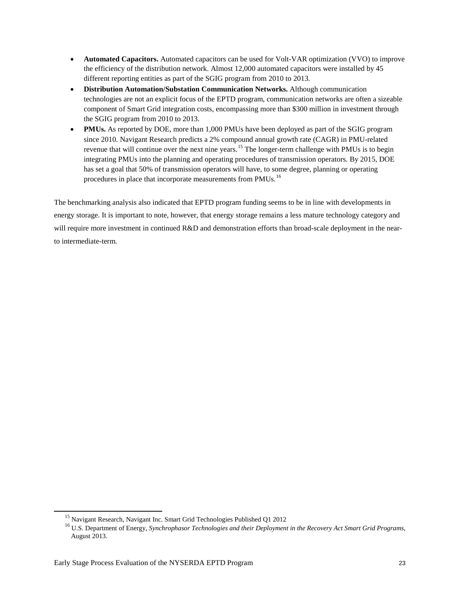- **Automated Capacitors.** Automated capacitors can be used for Volt-VAR optimization (VVO) to improve the efficiency of the distribution network. Almost 12,000 automated capacitors were installed by 45 different reporting entities as part of the SGIG program from 2010 to 2013.
- **Distribution Automation/Substation Communication Networks.** Although communication technologies are not an explicit focus of the EPTD program, communication networks are often a sizeable component of Smart Grid integration costs, encompassing more than \$300 million in investment through the SGIG program from 2010 to 2013.
- **PMUs.** As reported by DOE, more than 1,000 PMUs have been deployed as part of the SGIG program since 2010. Navigant Research predicts a 2% compound annual growth rate (CAGR) in PMU-related revenue that will continue over the next nine years.<sup>[15](#page-28-0)</sup> The longer-term challenge with PMUs is to begin integrating PMUs into the planning and operating procedures of transmission operators. By 2015, DOE has set a goal that 50% of transmission operators will have, to some degree, planning or operating procedures in place that incorporate measurements from PMUs.<sup>[16](#page-28-1)</sup>

The benchmarking analysis also indicated that EPTD program funding seems to be in line with developments in energy storage. It is important to note, however, that energy storage remains a less mature technology category and will require more investment in continued R&D and demonstration efforts than broad-scale deployment in the nearto intermediate-term.

<span id="page-28-1"></span><span id="page-28-0"></span> $\overline{a}$ 

<sup>&</sup>lt;sup>15</sup> Navigant Research, Navigant Inc. Smart Grid Technologies Published Q1 2012<br><sup>16</sup> U.S. Department of Energy, *Synchrophasor Technologies and their Deployment in the Recovery Act Smart Grid Programs*, August 2013.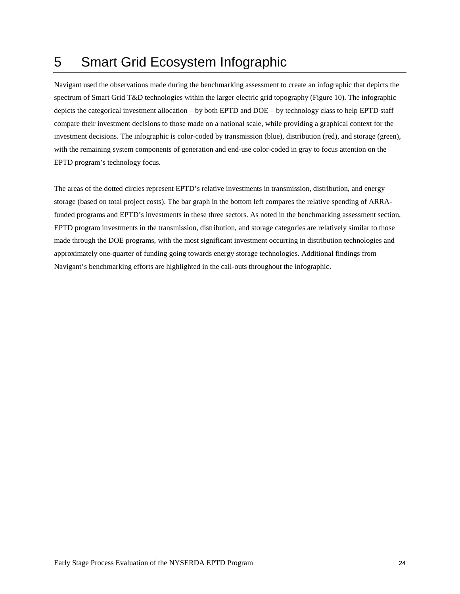# 5 Smart Grid Ecosystem Infographic

Navigant used the observations made during the benchmarking assessment to create an infographic that depicts the spectrum of Smart Grid T&D technologies within the larger electric grid topography [\(Figure 10\)](#page-30-0). The infographic depicts the categorical investment allocation – by both EPTD and DOE – by technology class to help EPTD staff compare their investment decisions to those made on a national scale, while providing a graphical context for the investment decisions. The infographic is color-coded by transmission (blue), distribution (red), and storage (green), with the remaining system components of generation and end-use color-coded in gray to focus attention on the EPTD program's technology focus.

The areas of the dotted circles represent EPTD's relative investments in transmission, distribution, and energy storage (based on total project costs). The bar graph in the bottom left compares the relative spending of ARRAfunded programs and EPTD's investments in these three sectors. As noted in the benchmarking assessment section, EPTD program investments in the transmission, distribution, and storage categories are relatively similar to those made through the DOE programs, with the most significant investment occurring in distribution technologies and approximately one-quarter of funding going towards energy storage technologies. Additional findings from Navigant's benchmarking efforts are highlighted in the call-outs throughout the infographic.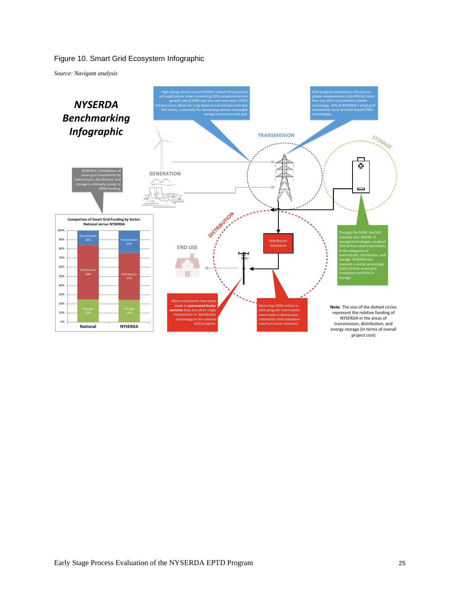### <span id="page-30-0"></span>Figure 10. Smart Grid Ecosystem Infographic

*Source: Navigant analysis*

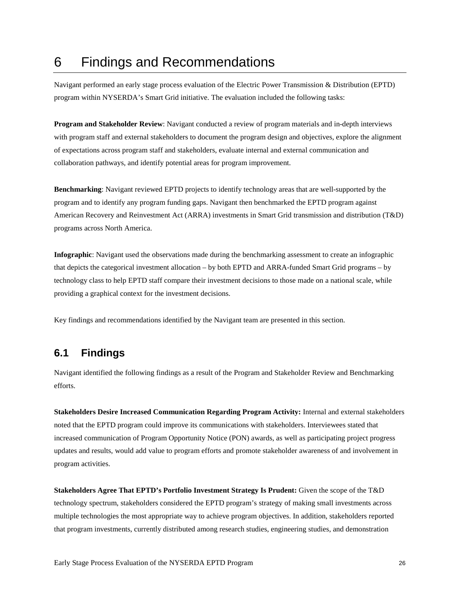# 6 Findings and Recommendations

Navigant performed an early stage process evaluation of the Electric Power Transmission & Distribution (EPTD) program within NYSERDA's Smart Grid initiative. The evaluation included the following tasks:

**Program and Stakeholder Review**: Navigant conducted a review of program materials and in-depth interviews with program staff and external stakeholders to document the program design and objectives, explore the alignment of expectations across program staff and stakeholders, evaluate internal and external communication and collaboration pathways, and identify potential areas for program improvement.

**Benchmarking**: Navigant reviewed EPTD projects to identify technology areas that are well-supported by the program and to identify any program funding gaps. Navigant then benchmarked the EPTD program against American Recovery and Reinvestment Act (ARRA) investments in Smart Grid transmission and distribution (T&D) programs across North America.

**Infographic**: Navigant used the observations made during the benchmarking assessment to create an infographic that depicts the categorical investment allocation – by both EPTD and ARRA-funded Smart Grid programs – by technology class to help EPTD staff compare their investment decisions to those made on a national scale, while providing a graphical context for the investment decisions.

Key findings and recommendations identified by the Navigant team are presented in this section.

## **6.1 Findings**

Navigant identified the following findings as a result of the Program and Stakeholder Review and Benchmarking efforts.

**Stakeholders Desire Increased Communication Regarding Program Activity:** Internal and external stakeholders noted that the EPTD program could improve its communications with stakeholders. Interviewees stated that increased communication of Program Opportunity Notice (PON) awards, as well as participating project progress updates and results, would add value to program efforts and promote stakeholder awareness of and involvement in program activities.

**Stakeholders Agree That EPTD's Portfolio Investment Strategy Is Prudent:** Given the scope of the T&D technology spectrum, stakeholders considered the EPTD program's strategy of making small investments across multiple technologies the most appropriate way to achieve program objectives. In addition, stakeholders reported that program investments, currently distributed among research studies, engineering studies, and demonstration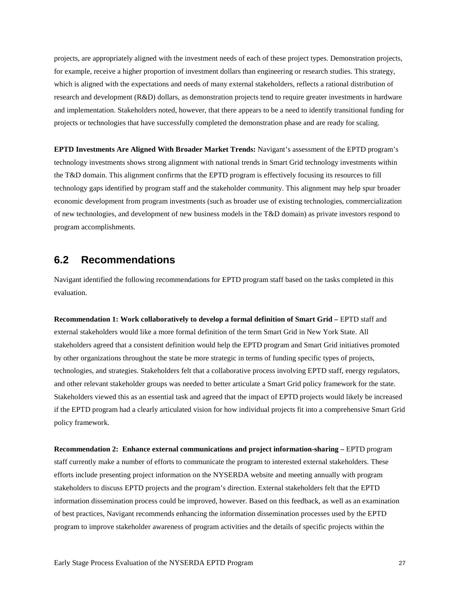projects, are appropriately aligned with the investment needs of each of these project types. Demonstration projects, for example, receive a higher proportion of investment dollars than engineering or research studies. This strategy, which is aligned with the expectations and needs of many external stakeholders, reflects a rational distribution of research and development (R&D) dollars, as demonstration projects tend to require greater investments in hardware and implementation. Stakeholders noted, however, that there appears to be a need to identify transitional funding for projects or technologies that have successfully completed the demonstration phase and are ready for scaling.

**EPTD Investments Are Aligned With Broader Market Trends:** Navigant's assessment of the EPTD program's technology investments shows strong alignment with national trends in Smart Grid technology investments within the T&D domain. This alignment confirms that the EPTD program is effectively focusing its resources to fill technology gaps identified by program staff and the stakeholder community. This alignment may help spur broader economic development from program investments (such as broader use of existing technologies, commercialization of new technologies, and development of new business models in the T&D domain) as private investors respond to program accomplishments.

## **6.2 Recommendations**

Navigant identified the following recommendations for EPTD program staff based on the tasks completed in this evaluation.

**Recommendation 1: Work collaboratively to develop a formal definition of Smart Grid –** EPTD staff and external stakeholders would like a more formal definition of the term Smart Grid in New York State. All stakeholders agreed that a consistent definition would help the EPTD program and Smart Grid initiatives promoted by other organizations throughout the state be more strategic in terms of funding specific types of projects, technologies, and strategies. Stakeholders felt that a collaborative process involving EPTD staff, energy regulators, and other relevant stakeholder groups was needed to better articulate a Smart Grid policy framework for the state. Stakeholders viewed this as an essential task and agreed that the impact of EPTD projects would likely be increased if the EPTD program had a clearly articulated vision for how individual projects fit into a comprehensive Smart Grid policy framework.

**Recommendation 2: Enhance external communications and project information-sharing –** EPTD program staff currently make a number of efforts to communicate the program to interested external stakeholders. These efforts include presenting project information on the NYSERDA website and meeting annually with program stakeholders to discuss EPTD projects and the program's direction. External stakeholders felt that the EPTD information dissemination process could be improved, however. Based on this feedback, as well as an examination of best practices, Navigant recommends enhancing the information dissemination processes used by the EPTD program to improve stakeholder awareness of program activities and the details of specific projects within the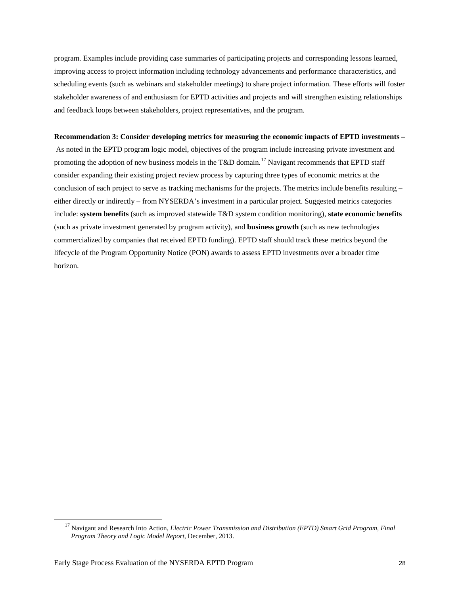program. Examples include providing case summaries of participating projects and corresponding lessons learned, improving access to project information including technology advancements and performance characteristics, and scheduling events (such as webinars and stakeholder meetings) to share project information. These efforts will foster stakeholder awareness of and enthusiasm for EPTD activities and projects and will strengthen existing relationships and feedback loops between stakeholders, project representatives, and the program.

#### **Recommendation 3: Consider developing metrics for measuring the economic impacts of EPTD investments –**

As noted in the EPTD program logic model, objectives of the program include increasing private investment and promoting the adoption of new business models in the T&D domain.<sup>[17](#page-33-0)</sup> Navigant recommends that EPTD staff consider expanding their existing project review process by capturing three types of economic metrics at the conclusion of each project to serve as tracking mechanisms for the projects. The metrics include benefits resulting – either directly or indirectly – from NYSERDA's investment in a particular project. Suggested metrics categories include: **system benefits** (such as improved statewide T&D system condition monitoring), **state economic benefits** (such as private investment generated by program activity), and **business growth** (such as new technologies commercialized by companies that received EPTD funding). EPTD staff should track these metrics beyond the lifecycle of the Program Opportunity Notice (PON) awards to assess EPTD investments over a broader time horizon.

<span id="page-33-0"></span>-

<sup>17</sup> Navigant and Research Into Action, *Electric Power Transmission and Distribution (EPTD) Smart Grid Program, Final Program Theory and Logic Model Report*, December, 2013.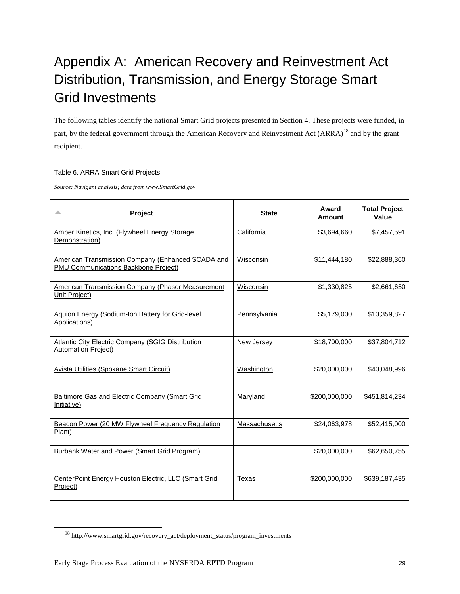# Appendix A: American Recovery and Reinvestment Act Distribution, Transmission, and Energy Storage Smart Grid Investments

The following tables identify the national Smart Grid projects presented in Section 4. These projects were funded, in part, by the federal government through the American Recovery and Reinvestment Act (ARRA)<sup>[18](#page-34-0)</sup> and by the grant recipient.

#### Table 6. ARRA Smart Grid Projects

*Source: Navigant analysis; data from www.SmartGrid.gov*

| Project<br>∸                                                                                     | <b>State</b>      | Award<br>Amount | <b>Total Project</b><br>Value |
|--------------------------------------------------------------------------------------------------|-------------------|-----------------|-------------------------------|
| Amber Kinetics, Inc. (Flywheel Energy Storage<br>Demonstration)                                  | California        | \$3,694,660     | \$7,457,591                   |
| American Transmission Company (Enhanced SCADA and<br><b>PMU Communications Backbone Project)</b> | Wisconsin         | \$11,444,180    | \$22,888,360                  |
| <b>American Transmission Company (Phasor Measurement</b><br>Unit Project)                        | Wisconsin         | \$1,330,825     | \$2,661,650                   |
| Aquion Energy (Sodium-Ion Battery for Grid-level<br>Applications)                                | Pennsylvania      | \$5,179,000     | \$10,359,827                  |
| <b>Atlantic City Electric Company (SGIG Distribution</b><br><b>Automation Project)</b>           | <b>New Jersey</b> | \$18,700,000    | \$37,804,712                  |
| <b>Avista Utilities (Spokane Smart Circuit)</b>                                                  | Washington        | \$20,000,000    | \$40,048,996                  |
| <b>Baltimore Gas and Electric Company (Smart Grid</b><br>Initiative)                             | Maryland          | \$200,000,000   | \$451,814,234                 |
| Beacon Power (20 MW Flywheel Frequency Regulation<br>Plant)                                      | Massachusetts     | \$24,063,978    | \$52,415,000                  |
| <b>Burbank Water and Power (Smart Grid Program)</b>                                              |                   | \$20,000,000    | \$62,650,755                  |
| CenterPoint Energy Houston Electric, LLC (Smart Grid<br>Project)                                 | Texas             | \$200,000,000   | \$639,187,435                 |

<span id="page-34-0"></span> $\ddot{\phantom{a}}$ 

<sup>18</sup> http://www.smartgrid.gov/recovery\_act/deployment\_status/program\_investments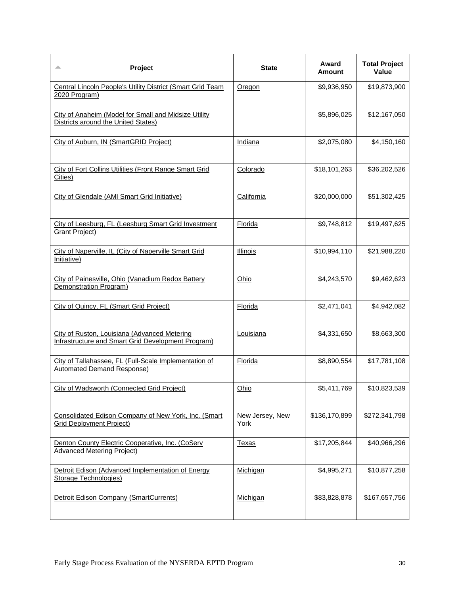| Project<br>▵                                                                                       | <b>State</b>            | Award<br>Amount | <b>Total Project</b><br>Value |
|----------------------------------------------------------------------------------------------------|-------------------------|-----------------|-------------------------------|
| <b>Central Lincoln People's Utility District (Smart Grid Team</b><br>2020 Program)                 | Oregon                  | \$9,936,950     | \$19,873,900                  |
| City of Anaheim (Model for Small and Midsize Utility<br>Districts around the United States)        |                         | \$5,896,025     | \$12,167,050                  |
| City of Auburn, IN (SmartGRID Project)                                                             | Indiana                 | \$2,075,080     | \$4,150,160                   |
| <b>City of Fort Collins Utilities (Front Range Smart Grid</b><br>Cities)                           | Colorado                | \$18,101,263    | \$36,202,526                  |
| City of Glendale (AMI Smart Grid Initiative)                                                       | California              | \$20,000,000    | \$51,302,425                  |
| City of Leesburg, FL (Leesburg Smart Grid Investment<br><b>Grant Project)</b>                      | Florida                 | \$9,748,812     | \$19,497,625                  |
| City of Naperville, IL (City of Naperville Smart Grid<br>Initiative)                               | <b>Illinois</b>         | \$10,994,110    | \$21,988,220                  |
| City of Painesville, Ohio (Vanadium Redox Battery<br>Demonstration Program)                        | Ohio                    | \$4,243,570     | \$9,462,623                   |
| City of Quincy, FL (Smart Grid Project)                                                            | Florida                 | \$2,471,041     | \$4,942,082                   |
| City of Ruston, Louisiana (Advanced Metering<br>Infrastructure and Smart Grid Development Program) | Louisiana               | \$4,331,650     | \$8,663,300                   |
| City of Tallahassee, FL (Full-Scale Implementation of<br>Automated Demand Response)                | Florida                 | \$8,890,554     | \$17,781,108                  |
| City of Wadsworth (Connected Grid Project)                                                         | Ohio                    | \$5,411,769     | \$10,823,539                  |
| Consolidated Edison Company of New York, Inc. (Smart<br><b>Grid Deployment Project)</b>            | New Jersey, New<br>York | \$136,170,899   | \$272,341,798                 |
| Denton County Electric Cooperative, Inc. (CoServ<br><b>Advanced Metering Project)</b>              | <u>Texas</u>            | \$17,205,844    | \$40,966,296                  |
| Detroit Edison (Advanced Implementation of Energy<br><b>Storage Technologies)</b>                  | <u>Michigan</u>         | \$4,995,271     | \$10,877,258                  |
| Detroit Edison Company (SmartCurrents)                                                             | Michigan                | \$83,828,878    | \$167,657,756                 |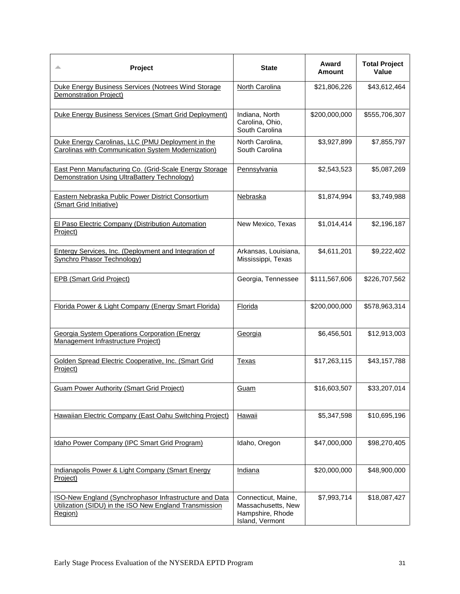| Project<br>▵                                                                                                                | <b>State</b>                                                                     | Award<br>Amount | <b>Total Project</b><br>Value |
|-----------------------------------------------------------------------------------------------------------------------------|----------------------------------------------------------------------------------|-----------------|-------------------------------|
| Duke Energy Business Services (Notrees Wind Storage<br>Demonstration Project)                                               | <b>North Carolina</b>                                                            | \$21,806,226    | \$43,612,464                  |
| Duke Energy Business Services (Smart Grid Deployment)                                                                       | Indiana, North<br>Carolina, Ohio,<br>South Carolina                              | \$200,000,000   | \$555,706,307                 |
| Duke Energy Carolinas, LLC (PMU Deployment in the<br>Carolinas with Communication System Modernization)                     | North Carolina,<br>South Carolina                                                | \$3,927,899     | \$7,855,797                   |
| East Penn Manufacturing Co. (Grid-Scale Energy Storage<br>Demonstration Using UltraBattery Technology)                      | Pennsylvania                                                                     | \$2,543,523     | \$5,087,269                   |
| Eastern Nebraska Public Power District Consortium<br>(Smart Grid Initiative)                                                | <b>Nebraska</b>                                                                  | \$1,874,994     | \$3,749,988                   |
| <b>El Paso Electric Company (Distribution Automation)</b><br>Project)                                                       | New Mexico, Texas                                                                | \$1,014,414     | \$2,196,187                   |
| <b>Entergy Services, Inc. (Deployment and Integration of</b><br><b>Synchro Phasor Technology)</b>                           | Arkansas, Louisiana,<br>Mississippi, Texas                                       | \$4,611,201     | \$9,222,402                   |
| <b>EPB (Smart Grid Project)</b>                                                                                             | Georgia, Tennessee                                                               | \$111,567,606   | \$226,707,562                 |
| Florida Power & Light Company (Energy Smart Florida)                                                                        | Florida                                                                          | \$200,000,000   | \$578,963,314                 |
| <b>Georgia System Operations Corporation (Energy</b><br>Management Infrastructure Project)                                  | Georgia                                                                          | \$6,456,501     | \$12,913,003                  |
| Golden Spread Electric Cooperative, Inc. (Smart Grid<br>Project)                                                            | Texas                                                                            | \$17,263,115    | \$43,157,788                  |
| <b>Guam Power Authority (Smart Grid Project)</b>                                                                            | Guam                                                                             | \$16,603,507    | \$33,207,014                  |
| Hawaiian Electric Company (East Oahu Switching Project)                                                                     | Hawaii                                                                           | \$5,347,598     | \$10,695,196                  |
| Idaho Power Company (IPC Smart Grid Program)                                                                                | Idaho, Oregon                                                                    | \$47,000,000    | \$98,270,405                  |
| Indianapolis Power & Light Company (Smart Energy<br>Project)                                                                | Indiana                                                                          | \$20,000,000    | \$48,900,000                  |
| ISO-New England (Synchrophasor Infrastructure and Data<br>Utilization (SIDU) in the ISO New England Transmission<br>Region) | Connecticut, Maine,<br>Massachusetts, New<br>Hampshire, Rhode<br>Island, Vermont | \$7,993,714     | \$18,087,427                  |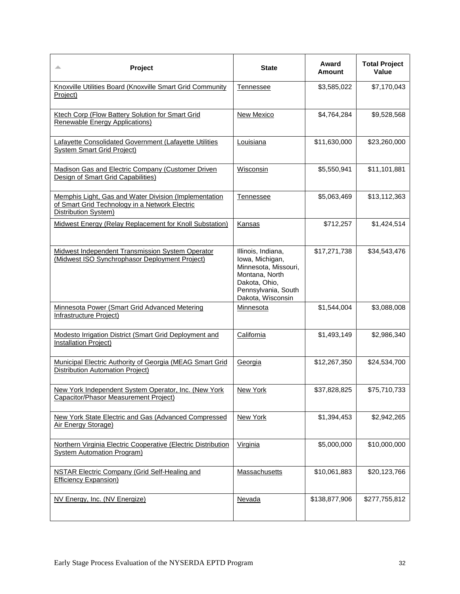| Project<br>▵                                                                                                                    | <b>State</b>                                                                                                                                 | Award<br>Amount | <b>Total Project</b><br>Value |
|---------------------------------------------------------------------------------------------------------------------------------|----------------------------------------------------------------------------------------------------------------------------------------------|-----------------|-------------------------------|
| Knoxville Utilities Board (Knoxville Smart Grid Community<br>Project)                                                           | Tennessee                                                                                                                                    | \$3,585,022     | \$7,170,043                   |
| <b>Ktech Corp (Flow Battery Solution for Smart Grid</b><br>Renewable Energy Applications)                                       | New Mexico                                                                                                                                   | \$4,764,284     | \$9,528,568                   |
| Lafayette Consolidated Government (Lafayette Utilities<br><b>System Smart Grid Project)</b>                                     | Louisiana                                                                                                                                    | \$11,630,000    | \$23,260,000                  |
| Madison Gas and Electric Company (Customer Driven<br>Design of Smart Grid Capabilities)                                         | Wisconsin                                                                                                                                    | \$5,550,941     | \$11,101,881                  |
| Memphis Light, Gas and Water Division (Implementation<br>of Smart Grid Technology in a Network Electric<br>Distribution System) | Tennessee                                                                                                                                    | \$5,063,469     | \$13,112,363                  |
| Midwest Energy (Relay Replacement for Knoll Substation)                                                                         | Kansas                                                                                                                                       | \$712,257       | \$1,424,514                   |
| Midwest Independent Transmission System Operator<br>(Midwest ISO Synchrophasor Deployment Project)                              | Illinois, Indiana,<br>Iowa, Michigan,<br>Minnesota, Missouri,<br>Montana, North<br>Dakota, Ohio,<br>Pennsylvania, South<br>Dakota, Wisconsin | \$17,271,738    | \$34,543,476                  |
| Minnesota Power (Smart Grid Advanced Metering<br><b>Infrastructure Project)</b>                                                 | Minnesota                                                                                                                                    | \$1,544,004     | \$3,088,008                   |
| Modesto Irrigation District (Smart Grid Deployment and<br>Installation Project)                                                 | California                                                                                                                                   | \$1,493,149     | \$2,986,340                   |
| <b>Municipal Electric Authority of Georgia (MEAG Smart Grid</b><br>Distribution Automation Project)                             | Georgia                                                                                                                                      | \$12,267,350    | \$24,534,700                  |
| New York Independent System Operator, Inc. (New York<br><b>Capacitor/Phasor Measurement Project)</b>                            | New York                                                                                                                                     | \$37,828,825    | \$75,710,733                  |
| <b>New York State Electric and Gas (Advanced Compressed</b><br>Air Energy Storage)                                              | <b>New York</b>                                                                                                                              | \$1,394,453     | \$2,942,265                   |
| Northern Virginia Electric Cooperative (Electric Distribution<br><b>System Automation Program)</b>                              | Virginia                                                                                                                                     | \$5,000,000     | \$10,000,000                  |
| <b>NSTAR Electric Company (Grid Self-Healing and</b><br><b>Efficiency Expansion)</b>                                            | <b>Massachusetts</b>                                                                                                                         | \$10,061,883    | \$20,123,766                  |
| NV Energy, Inc. (NV Energize)                                                                                                   | Nevada                                                                                                                                       | \$138,877,906   | \$277,755,812                 |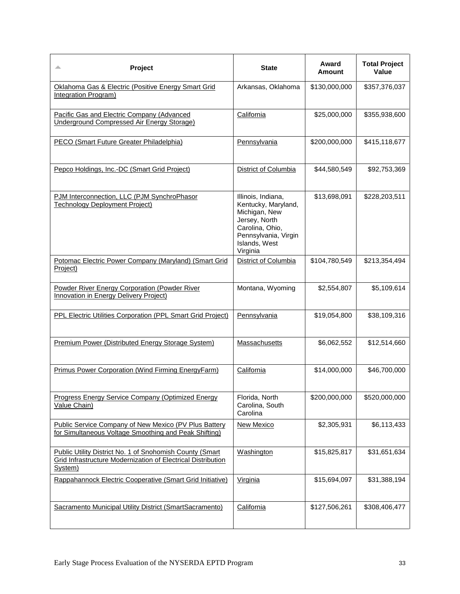| Project<br>∸                                                                                                                        | <b>State</b>                                                                                                                                        | Award<br>Amount | <b>Total Project</b><br>Value |
|-------------------------------------------------------------------------------------------------------------------------------------|-----------------------------------------------------------------------------------------------------------------------------------------------------|-----------------|-------------------------------|
| Oklahoma Gas & Electric (Positive Energy Smart Grid<br>Integration Program)                                                         | Arkansas, Oklahoma                                                                                                                                  | \$130,000,000   | \$357,376,037                 |
| Pacific Gas and Electric Company (Advanced<br>Underground Compressed Air Energy Storage)                                            | California                                                                                                                                          | \$25,000,000    | \$355,938,600                 |
| PECO (Smart Future Greater Philadelphia)                                                                                            | Pennsylvania                                                                                                                                        | \$200,000,000   | \$415,118,677                 |
| Pepco Holdings, Inc.-DC (Smart Grid Project)                                                                                        | District of Columbia                                                                                                                                | \$44,580,549    | \$92,753,369                  |
| PJM Interconnection, LLC (PJM SynchroPhasor<br><b>Technology Deployment Project)</b>                                                | Illinois, Indiana,<br>Kentucky, Maryland,<br>Michigan, New<br>Jersey, North<br>Carolina, Ohio,<br>Pennsylvania, Virgin<br>Islands, West<br>Virginia | \$13,698,091    | \$228,203,511                 |
| Potomac Electric Power Company (Maryland) (Smart Grid<br>Project)                                                                   | District of Columbia                                                                                                                                | \$104,780,549   | \$213,354,494                 |
| Powder River Energy Corporation (Powder River<br><b>Innovation in Energy Delivery Project)</b>                                      | Montana, Wyoming                                                                                                                                    | \$2,554,807     | \$5,109,614                   |
| <b>PPL Electric Utilities Corporation (PPL Smart Grid Project)</b>                                                                  | Pennsylvania                                                                                                                                        | \$19,054,800    | \$38,109,316                  |
| Premium Power (Distributed Energy Storage System)                                                                                   | Massachusetts                                                                                                                                       | \$6,062,552     | \$12,514,660                  |
| Primus Power Corporation (Wind Firming EnergyFarm)                                                                                  | California                                                                                                                                          | \$14,000,000    | \$46,700,000                  |
| Progress Energy Service Company (Optimized Energy<br>Value Chain)                                                                   | Florida, North<br>Carolina, South<br>Carolina                                                                                                       | \$200,000,000   | \$520,000,000                 |
| Public Service Company of New Mexico (PV Plus Battery<br>for Simultaneous Voltage Smoothing and Peak Shifting)                      | <b>New Mexico</b>                                                                                                                                   | \$2,305,931     | \$6,113,433                   |
| Public Utility District No. 1 of Snohomish County (Smart<br>Grid Infrastructure Modernization of Electrical Distribution<br>System) | Washington                                                                                                                                          | \$15,825,817    | \$31,651,634                  |
| Rappahannock Electric Cooperative (Smart Grid Initiative)                                                                           | Virginia                                                                                                                                            | \$15,694,097    | \$31,388,194                  |
| Sacramento Municipal Utility District (SmartSacramento)                                                                             | California                                                                                                                                          | \$127,506,261   | \$308,406,477                 |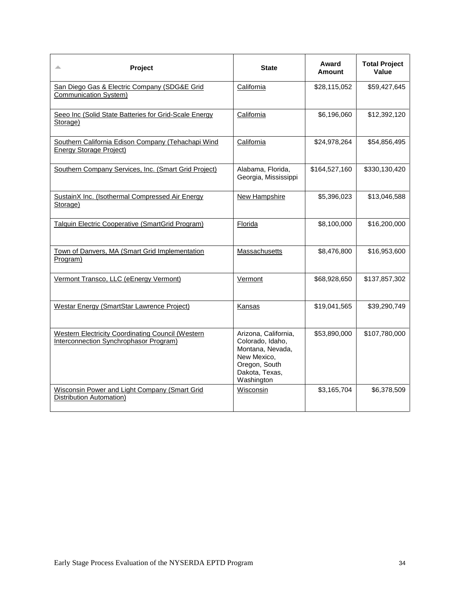| Project                                                                                            | <b>State</b>                                                                                                                 | Award<br>Amount | <b>Total Project</b><br>Value |
|----------------------------------------------------------------------------------------------------|------------------------------------------------------------------------------------------------------------------------------|-----------------|-------------------------------|
| San Diego Gas & Electric Company (SDG&E Grid<br>Communication System)                              | California                                                                                                                   | \$28,115,052    | \$59,427,645                  |
| Seeo Inc (Solid State Batteries for Grid-Scale Energy<br>Storage)                                  | California                                                                                                                   | \$6,196,060     | \$12,392,120                  |
| Southern California Edison Company (Tehachapi Wind<br><b>Energy Storage Project)</b>               | California                                                                                                                   | \$24,978,264    | \$54,856,495                  |
| Southern Company Services, Inc. (Smart Grid Project)                                               | Alabama, Florida,<br>Georgia, Mississippi                                                                                    | \$164,527,160   | \$330,130,420                 |
| SustainX Inc. (Isothermal Compressed Air Energy<br>Storage)                                        | New Hampshire                                                                                                                | \$5,396,023     | \$13,046,588                  |
| <b>Talquin Electric Cooperative (SmartGrid Program)</b>                                            | Florida                                                                                                                      | \$8,100,000     | \$16,200,000                  |
| Town of Danvers, MA (Smart Grid Implementation<br>Program)                                         | Massachusetts                                                                                                                | \$8,476,800     | \$16,953,600                  |
| Vermont Transco, LLC (eEnergy Vermont)                                                             | Vermont                                                                                                                      | \$68,928,650    | \$137,857,302                 |
| <b>Westar Energy (SmartStar Lawrence Project)</b>                                                  | Kansas                                                                                                                       | \$19,041,565    | \$39,290,749                  |
| <b>Western Electricity Coordinating Council (Western</b><br>Interconnection Synchrophasor Program) | Arizona, California,<br>Colorado, Idaho,<br>Montana, Nevada,<br>New Mexico,<br>Oregon, South<br>Dakota, Texas,<br>Washington | \$53,890,000    | \$107,780,000                 |
| Wisconsin Power and Light Company (Smart Grid<br>Distribution Automation)                          | Wisconsin                                                                                                                    | \$3,165,704     | \$6,378,509                   |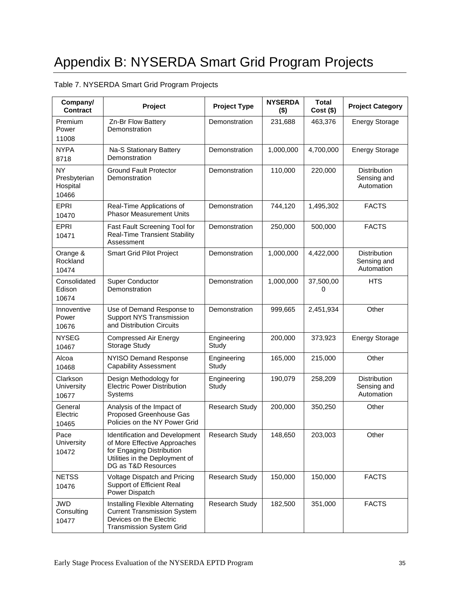## Table 7. NYSERDA Smart Grid Program Projects

| Company/<br><b>Contract</b>                    | Project                                                                                                                                              | <b>Project Type</b>   | <b>NYSERDA</b><br>$($ \$) | <b>Total</b><br>$Cost($ \$) | <b>Project Category</b>                          |
|------------------------------------------------|------------------------------------------------------------------------------------------------------------------------------------------------------|-----------------------|---------------------------|-----------------------------|--------------------------------------------------|
| Premium<br>Power<br>11008                      | Zn-Br Flow Battery<br>Demonstration                                                                                                                  | Demonstration         | 231,688                   | 463,376                     | <b>Energy Storage</b>                            |
| <b>NYPA</b><br>8718                            | Na-S Stationary Battery<br>Demonstration                                                                                                             | Demonstration         | 1,000,000                 | 4,700,000                   | <b>Energy Storage</b>                            |
| <b>NY</b><br>Presbyterian<br>Hospital<br>10466 | <b>Ground Fault Protector</b><br>Demonstration                                                                                                       | Demonstration         | 110,000                   | 220,000                     | <b>Distribution</b><br>Sensing and<br>Automation |
| <b>EPRI</b><br>10470                           | Real-Time Applications of<br><b>Phasor Measurement Units</b>                                                                                         | Demonstration         | 744,120                   | 1,495,302                   | <b>FACTS</b>                                     |
| <b>EPRI</b><br>10471                           | Fast Fault Screening Tool for<br><b>Real-Time Transient Stability</b><br>Assessment                                                                  | Demonstration         | 250,000                   | 500,000                     | <b>FACTS</b>                                     |
| Orange &<br>Rockland<br>10474                  | <b>Smart Grid Pilot Project</b>                                                                                                                      | Demonstration         | 1,000,000                 | 4,422,000                   | <b>Distribution</b><br>Sensing and<br>Automation |
| Consolidated<br>Edison<br>10674                | <b>Super Conductor</b><br>Demonstration                                                                                                              | Demonstration         | 1,000,000                 | 37,500,00<br>0              | <b>HTS</b>                                       |
| Innoventive<br>Power<br>10676                  | Use of Demand Response to<br><b>Support NYS Transmission</b><br>and Distribution Circuits                                                            | Demonstration         | 999,665                   | 2,451,934                   | Other                                            |
| <b>NYSEG</b><br>10467                          | <b>Compressed Air Energy</b><br><b>Storage Study</b>                                                                                                 | Engineering<br>Study  | 200,000                   | 373,923                     | <b>Energy Storage</b>                            |
| Alcoa<br>10468                                 | NYISO Demand Response<br><b>Capability Assessment</b>                                                                                                | Engineering<br>Study  | 165,000                   | 215,000                     | Other                                            |
| Clarkson<br>University<br>10677                | Design Methodology for<br><b>Electric Power Distribution</b><br>Systems                                                                              | Engineering<br>Study  | 190,079                   | 258,209                     | <b>Distribution</b><br>Sensing and<br>Automation |
| General<br>Electric<br>10465                   | Analysis of the Impact of<br>Proposed Greenhouse Gas<br>Policies on the NY Power Grid                                                                | <b>Research Study</b> | 200,000                   | 350,250                     | Other                                            |
| Pace<br>University<br>10472                    | Identification and Development<br>of More Effective Approaches<br>for Engaging Distribution<br>Utilities in the Deployment of<br>DG as T&D Resources | Research Study        | 148,650                   | 203,003                     | Other                                            |
| <b>NETSS</b><br>10476                          | Voltage Dispatch and Pricing<br>Support of Efficient Real<br>Power Dispatch                                                                          | <b>Research Study</b> | 150,000                   | 150,000                     | <b>FACTS</b>                                     |
| <b>JWD</b><br>Consulting<br>10477              | Installing Flexible Alternating<br><b>Current Transmission System</b><br>Devices on the Electric<br><b>Transmission System Grid</b>                  | <b>Research Study</b> | 182,500                   | 351,000                     | <b>FACTS</b>                                     |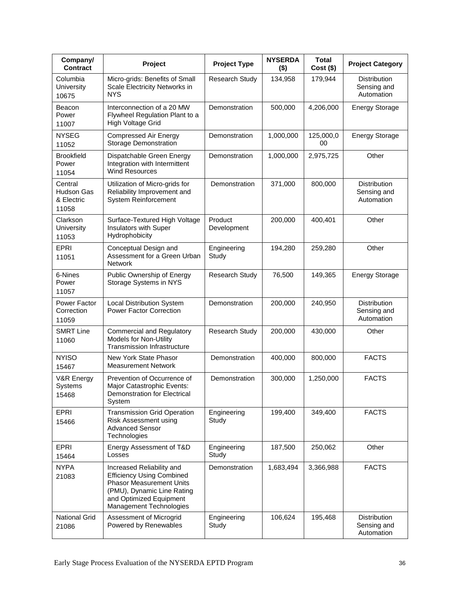| Company/<br><b>Contract</b>                  | Project                                                                                                                                                                              | <b>Project Type</b>    | <b>NYSERDA</b><br>$($ \$) | <b>Total</b><br>$Cost($ \$) | <b>Project Category</b>                          |
|----------------------------------------------|--------------------------------------------------------------------------------------------------------------------------------------------------------------------------------------|------------------------|---------------------------|-----------------------------|--------------------------------------------------|
| Columbia<br><b>University</b><br>10675       | Micro-grids: Benefits of Small<br>Scale Electricity Networks in<br><b>NYS</b>                                                                                                        | <b>Research Study</b>  | 134,958                   | 179,944                     | <b>Distribution</b><br>Sensing and<br>Automation |
| Beacon<br>Power<br>11007                     | Interconnection of a 20 MW<br>Flywheel Regulation Plant to a<br>High Voltage Grid                                                                                                    | Demonstration          | 500,000                   | 4,206,000                   | <b>Energy Storage</b>                            |
| <b>NYSEG</b><br>11052                        | <b>Compressed Air Energy</b><br><b>Storage Demonstration</b>                                                                                                                         | Demonstration          | 1,000,000                 | 125,000,0<br>00             | <b>Energy Storage</b>                            |
| <b>Brookfield</b><br>Power<br>11054          | Dispatchable Green Energy<br>Integration with Intermittent<br><b>Wind Resources</b>                                                                                                  | Demonstration          | 1,000,000                 | 2,975,725                   | Other                                            |
| Central<br>Hudson Gas<br>& Electric<br>11058 | Utilization of Micro-grids for<br>Reliability Improvement and<br><b>System Reinforcement</b>                                                                                         | Demonstration          | 371,000                   | 800,000                     | Distribution<br>Sensing and<br>Automation        |
| Clarkson<br><b>University</b><br>11053       | Surface-Textured High Voltage<br>Insulators with Super<br>Hydrophobicity                                                                                                             | Product<br>Development | 200,000                   | 400,401                     | Other                                            |
| <b>EPRI</b><br>11051                         | Conceptual Design and<br>Assessment for a Green Urban<br><b>Network</b>                                                                                                              | Engineering<br>Study   | 194,280                   | 259,280                     | Other                                            |
| 6-Nines<br>Power<br>11057                    | Public Ownership of Energy<br>Storage Systems in NYS                                                                                                                                 | Research Study         | 76,500                    | 149,365                     | <b>Energy Storage</b>                            |
| Power Factor<br>Correction<br>11059          | <b>Local Distribution System</b><br><b>Power Factor Correction</b>                                                                                                                   | Demonstration          | 200,000                   | 240,950                     | Distribution<br>Sensing and<br>Automation        |
| <b>SMRT Line</b><br>11060                    | <b>Commercial and Regulatory</b><br>Models for Non-Utility<br>Transmission Infrastructure                                                                                            | <b>Research Study</b>  | 200,000                   | 430,000                     | Other                                            |
| <b>NYISO</b><br>15467                        | New York State Phasor<br><b>Measurement Network</b>                                                                                                                                  | Demonstration          | 400,000                   | 800,000                     | <b>FACTS</b>                                     |
| V&R Energy<br><b>Systems</b><br>15468        | Prevention of Occurrence of<br>Major Catastrophic Events:<br><b>Demonstration for Electrical</b><br>System                                                                           | Demonstration          | 300,000                   | 1,250,000                   | <b>FACTS</b>                                     |
| EPRI<br>15466                                | <b>Transmission Grid Operation</b><br>Risk Assessment using<br><b>Advanced Sensor</b><br>Technologies                                                                                | Engineering<br>Study   | 199,400                   | 349,400                     | <b>FACTS</b>                                     |
| <b>EPRI</b><br>15464                         | Energy Assessment of T&D<br>Losses                                                                                                                                                   | Engineering<br>Study   | 187,500                   | 250,062                     | Other                                            |
| <b>NYPA</b><br>21083                         | Increased Reliability and<br><b>Efficiency Using Combined</b><br><b>Phasor Measurement Units</b><br>(PMU), Dynamic Line Rating<br>and Optimized Equipment<br>Management Technologies | Demonstration          | 1,683,494                 | 3,366,988                   | <b>FACTS</b>                                     |
| <b>National Grid</b><br>21086                | Assessment of Microgrid<br>Powered by Renewables                                                                                                                                     | Engineering<br>Study   | 106,624                   | 195,468                     | Distribution<br>Sensing and<br>Automation        |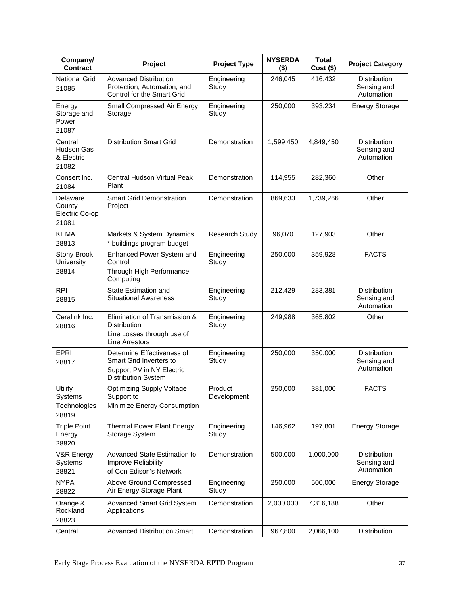| Company/<br><b>Contract</b>                   | Project                                                                                                          | <b>Project Type</b>    | <b>NYSERDA</b><br>$($ \$) | <b>Total</b><br>$Cost($ \$) | <b>Project Category</b>                          |
|-----------------------------------------------|------------------------------------------------------------------------------------------------------------------|------------------------|---------------------------|-----------------------------|--------------------------------------------------|
| <b>National Grid</b><br>21085                 | <b>Advanced Distribution</b><br>Protection, Automation, and<br>Control for the Smart Grid                        | Engineering<br>Study   | 246,045                   | 416,432                     | <b>Distribution</b><br>Sensing and<br>Automation |
| Energy<br>Storage and<br>Power<br>21087       | Small Compressed Air Energy<br>Storage                                                                           | Engineering<br>Study   | 250,000                   | 393,234                     | <b>Energy Storage</b>                            |
| Central<br>Hudson Gas<br>& Electric<br>21082  | <b>Distribution Smart Grid</b>                                                                                   | Demonstration          | 1,599,450                 | 4,849,450                   | <b>Distribution</b><br>Sensing and<br>Automation |
| Consert Inc.<br>21084                         | Central Hudson Virtual Peak<br>Plant                                                                             | Demonstration          | 114,955                   | 282,360                     | Other                                            |
| Delaware<br>County<br>Electric Co-op<br>21081 | <b>Smart Grid Demonstration</b><br>Project                                                                       | Demonstration          | 869,633                   | 1,739,266                   | Other                                            |
| <b>KEMA</b><br>28813                          | Markets & System Dynamics<br>* buildings program budget                                                          | Research Study         | 96,070                    | 127,903                     | Other                                            |
| Stony Brook<br>University<br>28814            | Enhanced Power System and<br>Control<br>Through High Performance<br>Computing                                    | Engineering<br>Study   | 250,000                   | 359,928                     | <b>FACTS</b>                                     |
| <b>RPI</b><br>28815                           | State Estimation and<br><b>Situational Awareness</b>                                                             | Engineering<br>Study   | 212,429                   | 283,381                     | <b>Distribution</b><br>Sensing and<br>Automation |
| Ceralink Inc.<br>28816                        | Elimination of Transmission &<br>Distribution<br>Line Losses through use of<br><b>Line Arrestors</b>             | Engineering<br>Study   | 249,988                   | 365,802                     | Other                                            |
| EPRI<br>28817                                 | Determine Effectiveness of<br>Smart Grid Inverters to<br>Support PV in NY Electric<br><b>Distribution System</b> | Engineering<br>Study   | 250,000                   | 350,000                     | Distribution<br>Sensing and<br>Automation        |
| Utility<br>Systems<br>Technologies<br>28819   | Optimizing Supply Voltage<br>Support to<br>Minimize Energy Consumption                                           | Product<br>Development | 250,000                   | 381,000                     | <b>FACTS</b>                                     |
| <b>Triple Point</b><br>Energy<br>28820        | Thermal Power Plant Energy<br>Storage System                                                                     | Engineering<br>Study   | 146,962                   | 197,801                     | <b>Energy Storage</b>                            |
| V&R Energy<br>Systems<br>28821                | Advanced State Estimation to<br>Improve Reliability<br>of Con Edison's Network                                   | Demonstration          | 500,000                   | 1,000,000                   | Distribution<br>Sensing and<br>Automation        |
| <b>NYPA</b><br>28822                          | Above Ground Compressed<br>Air Energy Storage Plant                                                              | Engineering<br>Study   | 250,000                   | 500,000                     | <b>Energy Storage</b>                            |
| Orange &<br>Rockland<br>28823                 | <b>Advanced Smart Grid System</b><br>Applications                                                                | Demonstration          | 2,000,000                 | 7,316,188                   | Other                                            |
| Central                                       | <b>Advanced Distribution Smart</b>                                                                               | Demonstration          | 967,800                   | 2,066,100                   | Distribution                                     |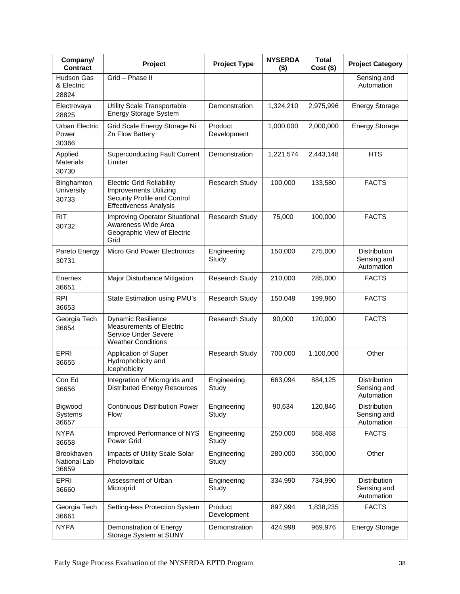| Company/<br><b>Contract</b>                | Project                                                                                                                     | <b>Project Type</b>    | <b>NYSERDA</b><br>$($ \$) | <b>Total</b><br>$Cost($ \$) | <b>Project Category</b>                   |
|--------------------------------------------|-----------------------------------------------------------------------------------------------------------------------------|------------------------|---------------------------|-----------------------------|-------------------------------------------|
| <b>Hudson Gas</b><br>& Electric<br>28824   | Grid - Phase II                                                                                                             |                        |                           |                             | Sensing and<br>Automation                 |
| Electrovaya<br>28825                       | Utility Scale Transportable<br>Energy Storage System                                                                        | Demonstration          | 1,324,210                 | 2,975,996                   | <b>Energy Storage</b>                     |
| Urban Electric<br>Power<br>30366           | Grid Scale Energy Storage Ni<br>Zn Flow Battery                                                                             | Product<br>Development | 1,000,000                 | 2,000,000                   | <b>Energy Storage</b>                     |
| Applied<br><b>Materials</b><br>30730       | <b>Superconducting Fault Current</b><br>Limiter                                                                             | Demonstration          | 1,221,574                 | 2,443,148                   | <b>HTS</b>                                |
| Binghamton<br>University<br>30733          | <b>Electric Grid Reliability</b><br>Improvements Utilizing<br>Security Profile and Control<br><b>Effectiveness Analysis</b> | Research Study         | 100,000                   | 133,580                     | <b>FACTS</b>                              |
| <b>RIT</b><br>30732                        | <b>Improving Operator Situational</b><br>Awareness Wide Area<br>Geographic View of Electric<br>Grid                         | Research Study         | 75,000                    | 100,000                     | <b>FACTS</b>                              |
| Pareto Energy<br>30731                     | <b>Micro Grid Power Electronics</b>                                                                                         | Engineering<br>Study   | 150,000                   | 275,000                     | Distribution<br>Sensing and<br>Automation |
| Enernex<br>36651                           | Major Disturbance Mitigation                                                                                                | Research Study         | 210,000                   | 285,000                     | <b>FACTS</b>                              |
| <b>RPI</b><br>36653                        | State Estimation using PMU's                                                                                                | Research Study         | 150,048                   | 199,960                     | <b>FACTS</b>                              |
| Georgia Tech<br>36654                      | <b>Dynamic Resilience</b><br><b>Measurements of Electric</b><br>Service Under Severe<br><b>Weather Conditions</b>           | Research Study         | 90,000                    | 120,000                     | <b>FACTS</b>                              |
| EPRI<br>36655                              | Application of Super<br>Hydrophobicity and<br>Icephobicity                                                                  | Research Study         | 700,000                   | 1,100,000                   | Other                                     |
| Con Ed<br>36656                            | Integration of Microgrids and<br><b>Distributed Energy Resources</b>                                                        | Engineering<br>Study   | 663,094                   | 884,125                     | Distribution<br>Sensing and<br>Automation |
| Bigwood<br>Systems<br>36657                | <b>Continuous Distribution Power</b><br>Flow                                                                                | Engineering<br>Study   | 90,634                    | 120,846                     | Distribution<br>Sensing and<br>Automation |
| <b>NYPA</b><br>36658                       | Improved Performance of NYS<br>Power Grid                                                                                   | Engineering<br>Study   | 250,000                   | 668,468                     | <b>FACTS</b>                              |
| <b>Brookhaven</b><br>National Lab<br>36659 | Impacts of Utility Scale Solar<br>Photovoltaic                                                                              | Engineering<br>Study   | 280,000                   | 350,000                     | Other                                     |
| <b>EPRI</b><br>36660                       | Assessment of Urban<br>Microgrid                                                                                            | Engineering<br>Study   | 334,990                   | 734,990                     | Distribution<br>Sensing and<br>Automation |
| Georgia Tech<br>36661                      | Setting-less Protection System                                                                                              | Product<br>Development | 897,994                   | 1,838,235                   | <b>FACTS</b>                              |
| <b>NYPA</b>                                | Demonstration of Energy<br>Storage System at SUNY                                                                           | Demonstration          | 424,998                   | 969,976                     | <b>Energy Storage</b>                     |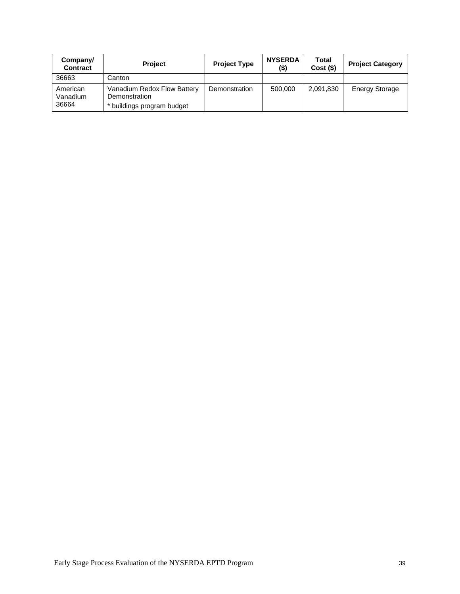| Company/<br><b>Contract</b>   | <b>Project</b>                                                             | <b>Project Type</b> | <b>NYSERDA</b><br>$($ \$) | Total<br>Cost(S) | <b>Project Category</b> |
|-------------------------------|----------------------------------------------------------------------------|---------------------|---------------------------|------------------|-------------------------|
| 36663                         | Canton                                                                     |                     |                           |                  |                         |
| American<br>Vanadium<br>36664 | Vanadium Redox Flow Battery<br>Demonstration<br>* buildings program budget | Demonstration       | 500,000                   | 2,091,830        | <b>Energy Storage</b>   |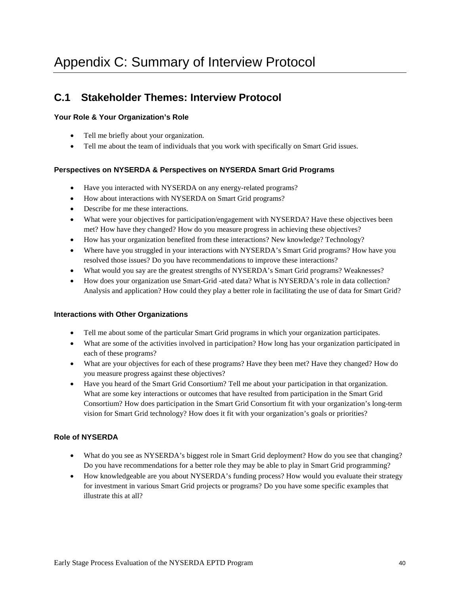## **C.1 Stakeholder Themes: Interview Protocol**

### **Your Role & Your Organization's Role**

- Tell me briefly about your organization.
- Tell me about the team of individuals that you work with specifically on Smart Grid issues.

### **Perspectives on NYSERDA & Perspectives on NYSERDA Smart Grid Programs**

- Have you interacted with NYSERDA on any energy-related programs?
- How about interactions with NYSERDA on Smart Grid programs?
- Describe for me these interactions.
- What were your objectives for participation/engagement with NYSERDA? Have these objectives been met? How have they changed? How do you measure progress in achieving these objectives?
- How has your organization benefited from these interactions? New knowledge? Technology?
- Where have you struggled in your interactions with NYSERDA's Smart Grid programs? How have you resolved those issues? Do you have recommendations to improve these interactions?
- What would you say are the greatest strengths of NYSERDA's Smart Grid programs? Weaknesses?
- How does your organization use Smart-Grid -ated data? What is NYSERDA's role in data collection? Analysis and application? How could they play a better role in facilitating the use of data for Smart Grid?

#### **Interactions with Other Organizations**

- Tell me about some of the particular Smart Grid programs in which your organization participates.
- What are some of the activities involved in participation? How long has your organization participated in each of these programs?
- What are your objectives for each of these programs? Have they been met? Have they changed? How do you measure progress against these objectives?
- Have you heard of the Smart Grid Consortium? Tell me about your participation in that organization. What are some key interactions or outcomes that have resulted from participation in the Smart Grid Consortium? How does participation in the Smart Grid Consortium fit with your organization's long-term vision for Smart Grid technology? How does it fit with your organization's goals or priorities?

### **Role of NYSERDA**

- What do you see as NYSERDA's biggest role in Smart Grid deployment? How do you see that changing? Do you have recommendations for a better role they may be able to play in Smart Grid programming?
- How knowledgeable are you about NYSERDA's funding process? How would you evaluate their strategy for investment in various Smart Grid projects or programs? Do you have some specific examples that illustrate this at all?